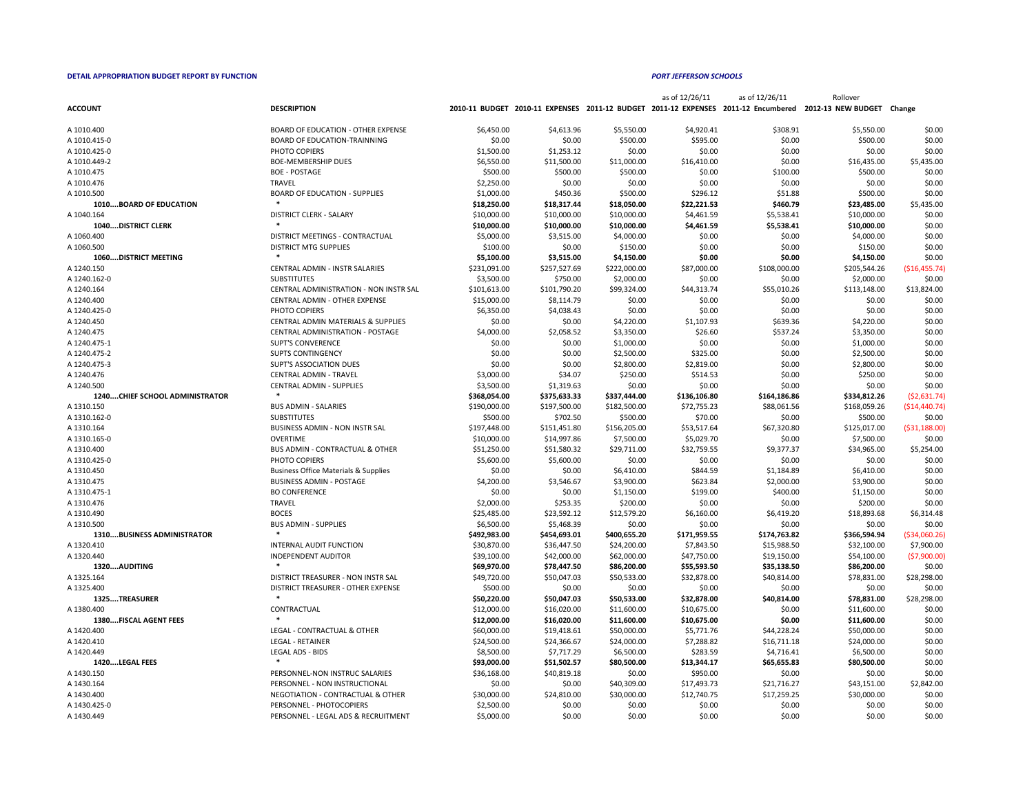|                                         |                                                 |              |              |              | as of 12/26/11 | as of 12/26/11 | Rollover                                                                                                     |                |
|-----------------------------------------|-------------------------------------------------|--------------|--------------|--------------|----------------|----------------|--------------------------------------------------------------------------------------------------------------|----------------|
| <b>ACCOUNT</b>                          | <b>DESCRIPTION</b>                              |              |              |              |                |                | 2010-11 BUDGET 2010-11 EXPENSES 2011-12 BUDGET 2011-12 EXPENSES 2011-12 Encumbered 2012-13 NEW BUDGET Change |                |
| A 1010.400                              | <b>BOARD OF EDUCATION - OTHER EXPENSE</b>       | \$6,450.00   | \$4,613.96   | \$5,550.00   | \$4,920.41     | \$308.91       | \$5,550.00                                                                                                   | \$0.00         |
| A 1010.415-0                            | <b>BOARD OF EDUCATION-TRAINNING</b>             | \$0.00       | \$0.00       | \$500.00     | \$595.00       | \$0.00         | \$500.00                                                                                                     | \$0.00         |
| A 1010.425-0                            | PHOTO COPIERS                                   | \$1,500.00   | \$1,253.12   | \$0.00       | \$0.00         | \$0.00         | \$0.00                                                                                                       | \$0.00         |
| A 1010.449-2                            | <b>BOE-MEMBERSHIP DUES</b>                      | \$6,550.00   | \$11,500.00  | \$11,000.00  | \$16,410.00    | \$0.00         | \$16,435.00                                                                                                  | \$5,435.00     |
| A 1010.475                              | <b>BOE - POSTAGE</b>                            | \$500.00     | \$500.00     | \$500.00     | \$0.00         | \$100.00       | \$500.00                                                                                                     | \$0.00         |
| A 1010.476                              | TRAVEL                                          | \$2,250.00   | \$0.00       | \$0.00       | \$0.00         | \$0.00         | \$0.00                                                                                                       | \$0.00         |
| A 1010.500                              | <b>BOARD OF EDUCATION - SUPPLIES</b>            | \$1,000.00   |              | \$500.00     | \$296.12       | \$51.88        |                                                                                                              | \$0.00         |
|                                         |                                                 |              | \$450.36     |              |                |                | \$500.00                                                                                                     |                |
| <b>1010BOARD OF EDUCATION</b>           |                                                 | \$18,250.00  | \$18,317.44  | \$18,050.00  | \$22,221.53    | \$460.79       | \$23,485.00                                                                                                  | \$5,435.00     |
| A 1040.164<br><b>1040DISTRICT CLERK</b> | <b>DISTRICT CLERK - SALARY</b>                  | \$10,000.00  | \$10,000.00  | \$10,000.00  | \$4,461.59     | \$5,538.41     | \$10,000.00                                                                                                  | \$0.00         |
|                                         |                                                 | \$10,000.00  | \$10,000.00  | \$10,000.00  | \$4,461.59     | \$5,538.41     | \$10,000.00                                                                                                  | \$0.00         |
| A 1060.400                              | DISTRICT MEETINGS - CONTRACTUAL                 | \$5,000.00   | \$3,515.00   | \$4,000.00   | \$0.00         | \$0.00         | \$4,000.00                                                                                                   | \$0.00         |
| A 1060.500                              | <b>DISTRICT MTG SUPPLIES</b>                    | \$100.00     | \$0.00       | \$150.00     | \$0.00         | \$0.00         | \$150.00                                                                                                     | \$0.00         |
| <b>1060DISTRICT MEETING</b>             |                                                 | \$5,100.00   | \$3,515.00   | \$4,150.00   | \$0.00         | \$0.00         | \$4,150.00                                                                                                   | \$0.00         |
| A 1240.150                              | <b>CENTRAL ADMIN - INSTR SALARIES</b>           | \$231,091.00 | \$257,527.69 | \$222,000.00 | \$87,000.00    | \$108,000.00   | \$205,544.26                                                                                                 | ( \$16,455.74) |
| A 1240.162-0                            | <b>SUBSTITUTES</b>                              | \$3,500.00   | \$750.00     | \$2,000.00   | \$0.00         | \$0.00         | \$2,000.00                                                                                                   | \$0.00         |
| A 1240.164                              | CENTRAL ADMINISTRATION - NON INSTR SAL          | \$101,613.00 | \$101,790.20 | \$99,324.00  | \$44,313.74    | \$55,010.26    | \$113,148.00                                                                                                 | \$13,824.00    |
| A 1240.400                              | <b>CENTRAL ADMIN - OTHER EXPENSE</b>            | \$15,000.00  | \$8,114.79   | \$0.00       | \$0.00         | \$0.00         | \$0.00                                                                                                       | \$0.00         |
| A 1240.425-0                            | PHOTO COPIERS                                   | \$6,350.00   | \$4,038.43   | \$0.00       | \$0.00         | \$0.00         | \$0.00                                                                                                       | \$0.00         |
| A 1240.450                              | <b>CENTRAL ADMIN MATERIALS &amp; SUPPLIES</b>   | \$0.00       | \$0.00       | \$4,220.00   | \$1,107.93     | \$639.36       | \$4,220.00                                                                                                   | \$0.00         |
| A 1240.475                              | <b>CENTRAL ADMINISTRATION - POSTAGE</b>         | \$4,000.00   | \$2,058.52   | \$3,350.00   | \$26.60        | \$537.24       | \$3,350.00                                                                                                   | \$0.00         |
| A 1240.475-1                            | <b>SUPT'S CONVERENCE</b>                        | \$0.00       | \$0.00       | \$1,000.00   | \$0.00         | \$0.00         | \$1,000.00                                                                                                   | \$0.00         |
| A 1240.475-2                            | <b>SUPTS CONTINGENCY</b>                        | \$0.00       | \$0.00       | \$2,500.00   | \$325.00       | \$0.00         | \$2,500.00                                                                                                   | \$0.00         |
| A 1240.475-3                            | <b>SUPT'S ASSOCIATION DUES</b>                  | \$0.00       | \$0.00       | \$2,800.00   | \$2,819.00     | \$0.00         | \$2,800.00                                                                                                   | \$0.00         |
| A 1240.476                              | <b>CENTRAL ADMIN - TRAVEL</b>                   | \$3,000.00   | \$34.07      | \$250.00     | \$514.53       | \$0.00         | \$250.00                                                                                                     | \$0.00         |
| A 1240.500                              | <b>CENTRAL ADMIN - SUPPLIES</b>                 | \$3,500.00   | \$1,319.63   | \$0.00       | \$0.00         | \$0.00         | \$0.00                                                                                                       | \$0.00         |
| <b>1240CHIEF SCHOOL ADMINISTRATOR</b>   |                                                 | \$368,054.00 | \$375,633.33 | \$337,444.00 | \$136,106.80   | \$164,186.86   | \$334,812.26                                                                                                 | (52,631.74)    |
| A 1310.150                              | <b>BUS ADMIN - SALARIES</b>                     | \$190,000.00 | \$197,500.00 | \$182,500.00 | \$72,755.23    | \$88,061.56    | \$168,059.26                                                                                                 | ( \$14,440.74) |
| A 1310.162-0                            | <b>SUBSTITUTES</b>                              | \$500.00     | \$702.50     | \$500.00     | \$70.00        | \$0.00         | \$500.00                                                                                                     | \$0.00         |
| A 1310.164                              | <b>BUSINESS ADMIN - NON INSTR SAL</b>           | \$197,448.00 | \$151,451.80 | \$156,205.00 | \$53,517.64    | \$67,320.80    | \$125,017.00                                                                                                 | ( \$31,188.00) |
| A 1310.165-0                            | OVERTIME                                        | \$10,000.00  | \$14,997.86  | \$7,500.00   | \$5,029.70     | \$0.00         | \$7,500.00                                                                                                   | \$0.00         |
| A 1310.400                              | <b>BUS ADMIN - CONTRACTUAL &amp; OTHER</b>      | \$51,250.00  | \$51,580.32  | \$29,711.00  | \$32,759.55    | \$9,377.37     | \$34,965.00                                                                                                  | \$5,254.00     |
| A 1310.425-0                            | PHOTO COPIERS                                   | \$5,600.00   | \$5,600.00   | \$0.00       | \$0.00         | \$0.00         | \$0.00                                                                                                       | \$0.00         |
| A 1310.450                              | <b>Business Office Materials &amp; Supplies</b> | \$0.00       | \$0.00       | \$6,410.00   | \$844.59       | \$1,184.89     | \$6,410.00                                                                                                   | \$0.00         |
| A 1310.475                              | <b>BUSINESS ADMIN - POSTAGE</b>                 | \$4,200.00   | \$3,546.67   | \$3,900.00   | \$623.84       | \$2,000.00     | \$3,900.00                                                                                                   | \$0.00         |
| A 1310.475-1                            | <b>BO CONFERENCE</b>                            | \$0.00       | \$0.00       | \$1,150.00   | \$199.00       | \$400.00       | \$1,150.00                                                                                                   | \$0.00         |
| A 1310.476                              | <b>TRAVEL</b>                                   | \$2,000.00   | \$253.35     | \$200.00     | \$0.00         | \$0.00         | \$200.00                                                                                                     | \$0.00         |
| A 1310.490                              | <b>BOCES</b>                                    | \$25,485.00  | \$23,592.12  | \$12,579.20  | \$6,160.00     | \$6,419.20     | \$18,893.68                                                                                                  | \$6,314.48     |
| A 1310.500                              | <b>BUS ADMIN - SUPPLIES</b>                     | \$6,500.00   | \$5,468.39   | \$0.00       | \$0.00         | \$0.00         | \$0.00                                                                                                       | \$0.00         |
| <b>1310BUSINESS ADMINISTRATOR</b>       |                                                 | \$492,983.00 | \$454,693.01 | \$400,655.20 | \$171,959.55   | \$174,763.82   | \$366,594.94                                                                                                 | ( \$34,060.26) |
| A 1320.410                              | INTERNAL AUDIT FUNCTION                         | \$30,870.00  | \$36,447.50  | \$24,200.00  | \$7,843.50     | \$15,988.50    | \$32,100.00                                                                                                  | \$7,900.00     |
| A 1320.440                              | <b>INDEPENDENT AUDITOR</b>                      | \$39,100.00  | \$42,000.00  | \$62,000.00  | \$47,750.00    | \$19,150.00    | \$54,100.00                                                                                                  | (57,900.00)    |
| 1320AUDITING                            |                                                 | \$69,970.00  | \$78,447.50  | \$86,200.00  | \$55,593.50    | \$35,138.50    | \$86,200.00                                                                                                  | \$0.00         |
| A 1325.164                              | DISTRICT TREASURER - NON INSTR SAL              | \$49,720.00  | \$50,047.03  | \$50,533.00  | \$32,878.00    | \$40,814.00    | \$78,831.00                                                                                                  | \$28,298.00    |
| A 1325.400                              | DISTRICT TREASURER - OTHER EXPENSE              | \$500.00     | \$0.00       | \$0.00       | \$0.00         | \$0.00         | \$0.00                                                                                                       | \$0.00         |
| 1325TREASURER                           |                                                 | \$50,220.00  | \$50,047.03  | \$50,533.00  | \$32,878.00    | \$40,814.00    | \$78,831.00                                                                                                  | \$28,298.00    |
| A 1380.400                              | CONTRACTUAL                                     | \$12,000.00  | \$16,020.00  | \$11,600.00  | \$10,675.00    | \$0.00         | \$11,600.00                                                                                                  | \$0.00         |
| 1380FISCAL AGENT FEES                   |                                                 | \$12,000.00  | \$16,020.00  | \$11,600.00  | \$10,675.00    | \$0.00         | \$11,600.00                                                                                                  | \$0.00         |
| A 1420.400                              | LEGAL - CONTRACTUAL & OTHER                     | \$60,000.00  | \$19,418.61  | \$50,000.00  | \$5,771.76     | \$44,228.24    | \$50,000.00                                                                                                  | \$0.00         |
| A 1420.410                              | <b>LEGAL - RETAINER</b>                         | \$24,500.00  | \$24,366.67  | \$24,000.00  | \$7,288.82     | \$16,711.18    | \$24,000.00                                                                                                  | \$0.00         |
| A 1420.449                              | <b>LEGAL ADS - BIDS</b>                         | \$8,500.00   | \$7,717.29   | \$6,500.00   | \$283.59       | \$4,716.41     | \$6,500.00                                                                                                   | \$0.00         |
| 1420LEGAL FEES                          | $\ast$                                          | \$93,000.00  | \$51,502.57  | \$80,500.00  | \$13,344.17    | \$65,655.83    | \$80,500.00                                                                                                  | \$0.00         |
| A 1430.150                              | PERSONNEL-NON INSTRUC SALARIES                  | \$36,168.00  | \$40,819.18  | \$0.00       | \$950.00       | \$0.00         | \$0.00                                                                                                       | \$0.00         |
|                                         |                                                 |              |              |              |                |                |                                                                                                              |                |
| A 1430.164                              | PERSONNEL - NON INSTRUCTIONAL                   | \$0.00       | \$0.00       | \$40,309.00  | \$17,493.73    | \$21,716.27    | \$43,151.00                                                                                                  | \$2,842.00     |
| A 1430.400                              | <b>NEGOTIATION - CONTRACTUAL &amp; OTHER</b>    | \$30,000.00  | \$24,810.00  | \$30,000.00  | \$12,740.75    | \$17,259.25    | \$30,000.00                                                                                                  | \$0.00         |
| A 1430.425-0                            | PERSONNEL - PHOTOCOPIERS                        | \$2,500.00   | \$0.00       | \$0.00       | \$0.00         | \$0.00         | \$0.00                                                                                                       | \$0.00         |
| A 1430.449                              | PERSONNEL - LEGAL ADS & RECRUITMENT             | \$5,000.00   | \$0.00       | \$0.00       | \$0.00         | \$0.00         | \$0.00                                                                                                       | \$0.00         |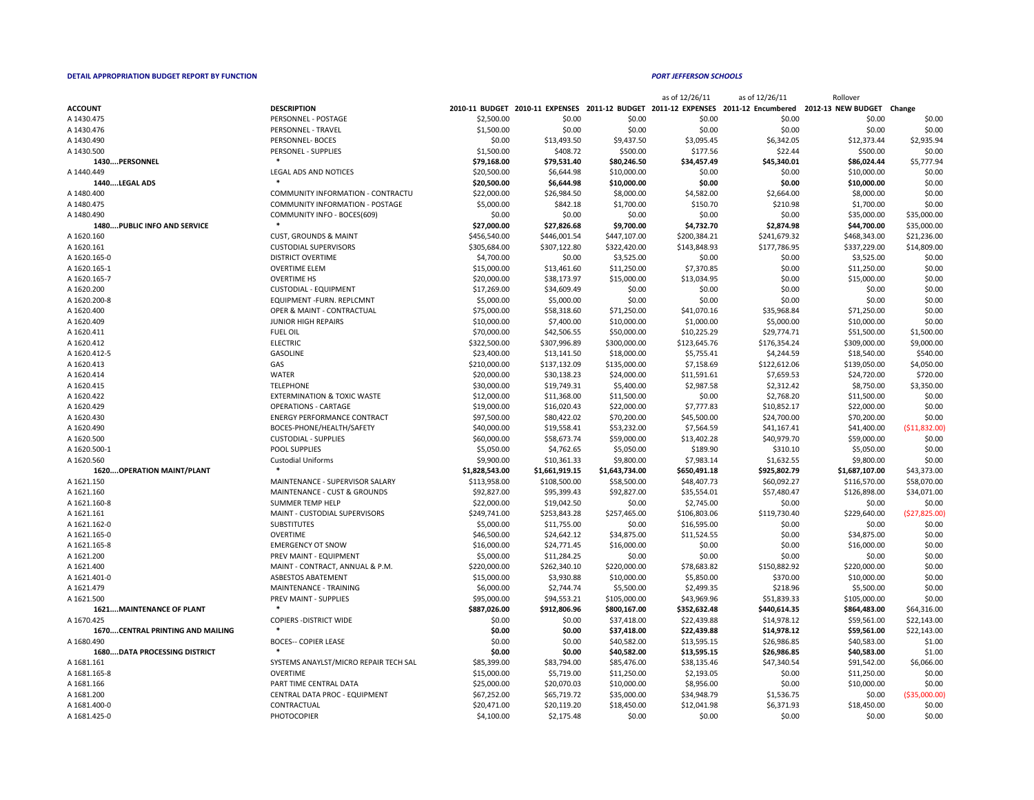|                      |                                        |                       |             |             | as of 12/26/11 | as of 12/26/11                                                      | Rollover                  |             |
|----------------------|----------------------------------------|-----------------------|-------------|-------------|----------------|---------------------------------------------------------------------|---------------------------|-------------|
| <b>ACCOUNT</b>       | <b>DESCRIPTION</b>                     | <b>2010-11 BUDGET</b> |             |             |                | 2010-11 EXPENSES 2011-12 BUDGET 2011-12 EXPENSES 2011-12 Encumbered | 2012-13 NEW BUDGET Change |             |
| A 1430.475           | PERSONNEL - POSTAGE                    | \$2,500.00            | \$0.00      | \$0.00      | \$0.00         | \$0.00                                                              | \$0.00                    | \$0.00      |
| A 1430.476           | PERSONNEL - TRAVEL                     | \$1,500.00            | \$0.00      | \$0.00      | \$0.00         | \$0.00                                                              | \$0.00                    | \$0.00      |
| A 1430.490           | PERSONNEL-BOCES                        | \$0.00                | \$13,493.50 | \$9,437.50  | \$3,095.45     | \$6,342.05                                                          | \$12,373.44               | \$2,935.94  |
| A 1430.500           | PERSONEL - SUPPLIES                    | \$1,500.00            | \$408.72    | \$500.00    | \$177.56       | \$22.44                                                             | \$500.00                  | \$0.00      |
| 1430PERSONNEL        |                                        | \$79,168.00           | \$79,531.40 | \$80,246.50 | \$34,457.49    | \$45,340.01                                                         | \$86,024.44               | \$5,777.94  |
| A 1440.449           | LEGAL ADS AND NOTICES                  | \$20,500.00           | \$6,644.98  | \$10,000.00 | \$0.00         | \$0.00                                                              | \$10,000.00               | \$0.00      |
| <b>1440LEGAL ADS</b> |                                        | \$20,500.00           | \$6,644.98  | \$10,000.00 | \$0.00         | \$0.00                                                              | \$10,000.00               | \$0.00      |
| A 1480.400           | COMMUNITY INFORMATION - CONTRACTU      | \$22,000.00           | \$26,984.50 | \$8,000.00  | \$4,582.00     | \$2,664.00                                                          | \$8,000.00                | \$0.00      |
| A 1480.475           | <b>COMMUNITY INFORMATION - POSTAGE</b> | \$5,000.00            | \$842.18    | \$1,700.00  | \$150.70       | \$210.98                                                            | \$1,700.00                | \$0.00      |
| A 1480.490           | COMMUNITY INFO - BOCES(609)            | \$0.00                | \$0.00      | \$0.00      | \$0.00         | \$0.00                                                              | \$35,000.00               | \$35,000.00 |

|                                     |                                          |                |                |                | as of 12/26/11 | as of 12/26/11 | Rollover                                                                                                     |                |
|-------------------------------------|------------------------------------------|----------------|----------------|----------------|----------------|----------------|--------------------------------------------------------------------------------------------------------------|----------------|
| <b>ACCOUNT</b>                      | <b>DESCRIPTION</b>                       |                |                |                |                |                | 2010-11 BUDGET 2010-11 EXPENSES 2011-12 BUDGET 2011-12 EXPENSES 2011-12 Encumbered 2012-13 NEW BUDGET Change |                |
| A 1430.475                          | PERSONNEL - POSTAGE                      | \$2,500.00     | \$0.00         | \$0.00         | \$0.00         | \$0.00         | \$0.00                                                                                                       | \$0.00         |
| A 1430.476                          | <b>PERSONNEL - TRAVEL</b>                | \$1,500.00     | \$0.00         | \$0.00         | \$0.00         | \$0.00         | \$0.00                                                                                                       | \$0.00         |
| A 1430.490                          | PERSONNEL- BOCES                         | \$0.00         | \$13,493.50    | \$9,437.50     | \$3,095.45     | \$6,342.05     | \$12,373.44                                                                                                  | \$2,935.94     |
| A 1430.500                          | PERSONEL - SUPPLIES                      | \$1,500.00     | \$408.72       | \$500.00       | \$177.56       | \$22.44        | \$500.00                                                                                                     | \$0.00         |
| 1430PERSONNEL                       |                                          | \$79,168.00    | \$79,531.40    | \$80,246.50    | \$34,457.49    | \$45,340.01    | \$86,024.44                                                                                                  | \$5,777.94     |
| A 1440.449                          | <b>LEGAL ADS AND NOTICES</b>             | \$20,500.00    | \$6,644.98     | \$10,000.00    | \$0.00         | \$0.00         | \$10,000.00                                                                                                  | \$0.00         |
| 1440LEGAL ADS                       |                                          | \$20,500.00    | \$6,644.98     | \$10,000.00    | \$0.00         | \$0.00         | \$10,000.00                                                                                                  | \$0.00         |
| A 1480.400                          | <b>COMMUNITY INFORMATION - CONTRACTU</b> | \$22,000.00    | \$26,984.50    | \$8,000.00     | \$4,582.00     | \$2,664.00     | \$8,000.00                                                                                                   | \$0.00         |
| A 1480.475                          | <b>COMMUNITY INFORMATION - POSTAGE</b>   | \$5,000.00     | \$842.18       | \$1,700.00     | \$150.70       | \$210.98       | \$1,700.00                                                                                                   | \$0.00         |
| A 1480.490                          | COMMUNITY INFO - BOCES(609)              | \$0.00         | \$0.00         | \$0.00         | \$0.00         | \$0.00         | \$35,000.00                                                                                                  | \$35,000.00    |
| <b>1480PUBLIC INFO AND SERVICE</b>  |                                          | \$27,000.00    | \$27,826.68    | \$9,700.00     | \$4,732.70     | \$2,874.98     | \$44,700.00                                                                                                  | \$35,000.00    |
| A 1620.160                          | <b>CUST, GROUNDS &amp; MAINT</b>         | \$456,540.00   | \$446,001.54   | \$447,107.00   | \$200,384.21   | \$241,679.32   | \$468,343.00                                                                                                 | \$21,236.00    |
| A 1620.161                          | <b>CUSTODIAL SUPERVISORS</b>             | \$305,684.00   | \$307,122.80   | \$322,420.00   | \$143,848.93   | \$177,786.95   | \$337,229.00                                                                                                 | \$14,809.00    |
| A 1620.165-0                        | <b>DISTRICT OVERTIME</b>                 | \$4,700.00     | \$0.00         | \$3,525.00     | \$0.00         | \$0.00         | \$3,525.00                                                                                                   | \$0.00         |
| A 1620.165-1                        | <b>OVERTIME ELEM</b>                     | \$15,000.00    | \$13,461.60    | \$11,250.00    | \$7,370.85     | \$0.00         | \$11,250.00                                                                                                  | \$0.00         |
| A 1620.165-7                        | <b>OVERTIME HS</b>                       | \$20,000.00    | \$38,173.97    | \$15,000.00    | \$13,034.95    | \$0.00         | \$15,000.00                                                                                                  | \$0.00         |
| A 1620.200                          | <b>CUSTODIAL - EQUIPMENT</b>             | \$17,269.00    | \$34,609.49    | \$0.00         | \$0.00         | \$0.00         | \$0.00                                                                                                       | \$0.00         |
| A 1620.200-8                        | <b>EQUIPMENT-FURN. REPLCMNT</b>          | \$5,000.00     | \$5,000.00     | \$0.00         | \$0.00         | \$0.00         | \$0.00                                                                                                       | \$0.00         |
|                                     |                                          |                |                |                |                |                |                                                                                                              |                |
| A 1620.400                          | <b>OPER &amp; MAINT - CONTRACTUAL</b>    | \$75,000.00    | \$58,318.60    | \$71,250.00    | \$41,070.16    | \$35,968.84    | \$71,250.00                                                                                                  | \$0.00         |
| A 1620.409                          | <b>JUNIOR HIGH REPAIRS</b>               | \$10,000.00    | \$7,400.00     | \$10,000.00    | \$1,000.00     | \$5,000.00     | \$10,000.00                                                                                                  | \$0.00         |
| A 1620.411                          | <b>FUEL OIL</b>                          | \$70,000.00    | \$42,506.55    | \$50,000.00    | \$10,225.29    | \$29,774.71    | \$51,500.00                                                                                                  | \$1,500.00     |
| A 1620.412                          | <b>ELECTRIC</b>                          | \$322,500.00   | \$307,996.89   | \$300,000.00   | \$123,645.76   | \$176,354.24   | \$309,000.00                                                                                                 | \$9,000.00     |
| A 1620.412-5                        | <b>GASOLINE</b>                          | \$23,400.00    | \$13,141.50    | \$18,000.00    | \$5,755.41     | \$4,244.59     | \$18,540.00                                                                                                  | \$540.00       |
| A 1620.413                          | GAS                                      | \$210,000.00   | \$137,132.09   | \$135,000.00   | \$7,158.69     | \$122,612.06   | \$139,050.00                                                                                                 | \$4,050.00     |
| A 1620.414                          | <b>WATER</b>                             | \$20,000.00    | \$30,138.23    | \$24,000.00    | \$11,591.61    | \$7,659.53     | \$24,720.00                                                                                                  | \$720.00       |
| A 1620.415                          | <b>TELEPHONE</b>                         | \$30,000.00    | \$19,749.31    | \$5,400.00     | \$2,987.58     | \$2,312.42     | \$8,750.00                                                                                                   | \$3,350.00     |
| A 1620.422                          | <b>EXTERMINATION &amp; TOXIC WASTE</b>   | \$12,000.00    | \$11,368.00    | \$11,500.00    | \$0.00         | \$2,768.20     | \$11,500.00                                                                                                  | \$0.00         |
| A 1620.429                          | <b>OPERATIONS - CARTAGE</b>              | \$19,000.00    | \$16,020.43    | \$22,000.00    | \$7,777.83     | \$10,852.17    | \$22,000.00                                                                                                  | \$0.00         |
| A 1620.430                          | <b>ENERGY PERFORMANCE CONTRACT</b>       | \$97,500.00    | \$80,422.02    | \$70,200.00    | \$45,500.00    | \$24,700.00    | \$70,200.00                                                                                                  | \$0.00         |
| A 1620.490                          | BOCES-PHONE/HEALTH/SAFETY                | \$40,000.00    | \$19,558.41    | \$53,232.00    | \$7,564.59     | \$41,167.41    | \$41,400.00                                                                                                  | ( \$11,832.00  |
| A 1620.500                          | <b>CUSTODIAL - SUPPLIES</b>              | \$60,000.00    | \$58,673.74    | \$59,000.00    | \$13,402.28    | \$40,979.70    | \$59,000.00                                                                                                  | \$0.00         |
| A 1620.500-1                        | POOL SUPPLIES                            | \$5,050.00     | \$4,762.65     | \$5,050.00     | \$189.90       | \$310.10       | \$5,050.00                                                                                                   | \$0.00         |
| A 1620.560                          | <b>Custodial Uniforms</b>                | \$9,900.00     | \$10,361.33    | \$9,800.00     | \$7,983.14     | \$1,632.55     | \$9,800.00                                                                                                   | \$0.00         |
| <b>1620OPERATION MAINT/PLANT</b>    |                                          | \$1,828,543.00 | \$1,661,919.15 | \$1,643,734.00 | \$650,491.18   | \$925,802.79   | \$1,687,107.00                                                                                               | \$43,373.00    |
| A 1621.150                          | MAINTENANCE - SUPERVISOR SALARY          | \$113,958.00   | \$108,500.00   | \$58,500.00    | \$48,407.73    | \$60,092.27    | \$116,570.00                                                                                                 | \$58,070.00    |
| A 1621.160                          | <b>MAINTENANCE - CUST &amp; GROUNDS</b>  | \$92,827.00    | \$95,399.43    | \$92,827.00    | \$35,554.01    | \$57,480.47    | \$126,898.00                                                                                                 | \$34,071.00    |
| A 1621.160-8                        | <b>SUMMER TEMP HELP</b>                  | \$22,000.00    | \$19,042.50    | \$0.00         | \$2,745.00     | \$0.00         | \$0.00                                                                                                       | \$0.00         |
| A 1621.161                          | MAINT - CUSTODIAL SUPERVISORS            | \$249,741.00   | \$253,843.28   | \$257,465.00   | \$106,803.06   | \$119,730.40   | \$229,640.00                                                                                                 | (527, 825.00)  |
| A 1621.162-0                        | <b>SUBSTITUTES</b>                       | \$5,000.00     | \$11,755.00    | \$0.00         | \$16,595.00    | \$0.00         | \$0.00                                                                                                       | \$0.00         |
| A 1621.165-0                        | OVERTIME                                 | \$46,500.00    | \$24,642.12    | \$34,875.00    | \$11,524.55    | \$0.00         | \$34,875.00                                                                                                  | \$0.00         |
| A 1621.165-8                        | <b>EMERGENCY OT SNOW</b>                 | \$16,000.00    | \$24,771.45    | \$16,000.00    | \$0.00         | \$0.00         | \$16,000.00                                                                                                  | \$0.00         |
| A 1621.200                          | PREV MAINT - EQUIPMENT                   | \$5,000.00     | \$11,284.25    | \$0.00         | \$0.00         | \$0.00         | \$0.00                                                                                                       | \$0.00         |
| A 1621.400                          | MAINT - CONTRACT, ANNUAL & P.M.          | \$220,000.00   | \$262,340.10   | \$220,000.00   | \$78,683.82    | \$150,882.92   | \$220,000.00                                                                                                 | \$0.00         |
| A 1621.401-0                        | <b>ASBESTOS ABATEMENT</b>                | \$15,000.00    | \$3,930.88     | \$10,000.00    | \$5,850.00     | \$370.00       | \$10,000.00                                                                                                  | \$0.00         |
| A 1621.479                          | MAINTENANCE - TRAINING                   | \$6,000.00     | \$2,744.74     | \$5,500.00     | \$2,499.35     | \$218.96       | \$5,500.00                                                                                                   | \$0.00         |
| A 1621.500                          | PREV MAINT - SUPPLIES                    | \$95,000.00    | \$94,553.21    | \$105,000.00   | \$43,969.96    | \$51,839.33    | \$105,000.00                                                                                                 | \$0.00         |
| <b>1621MAINTENANCE OF PLANT</b>     |                                          | \$887,026.00   | \$912,806.96   | \$800,167.00   | \$352,632.48   | \$440,614.35   | \$864,483.00                                                                                                 | \$64,316.00    |
| A 1670.425                          |                                          | \$0.00         |                | \$37,418.00    | \$22,439.88    |                |                                                                                                              |                |
|                                     | <b>COPIERS - DISTRICT WIDE</b>           |                | \$0.00         |                |                | \$14,978.12    | \$59,561.00                                                                                                  | \$22,143.00    |
| 1670CENTRAL PRINTING AND MAILING    |                                          | \$0.00         | \$0.00         | \$37,418.00    | \$22,439.88    | \$14,978.12    | \$59,561.00                                                                                                  | \$22,143.00    |
| A 1680.490                          | <b>BOCES-- COPIER LEASE</b>              | \$0.00         | \$0.00         | \$40,582.00    | \$13,595.15    | \$26,986.85    | \$40,583.00                                                                                                  | \$1.00         |
| <b>1680DATA PROCESSING DISTRICT</b> |                                          | \$0.00         | \$0.00         | \$40,582.00    | \$13,595.15    | \$26,986.85    | \$40,583.00                                                                                                  | \$1.00         |
| A 1681.161                          | SYSTEMS ANAYLST/MICRO REPAIR TECH SAL    | \$85,399.00    | \$83,794.00    | \$85,476.00    | \$38,135.46    | \$47,340.54    | \$91,542.00                                                                                                  | \$6,066.00     |
| A 1681.165-8                        | <b>OVERTIME</b>                          | \$15,000.00    | \$5,719.00     | \$11,250.00    | \$2,193.05     | \$0.00         | \$11,250.00                                                                                                  | \$0.00         |
| A 1681.166                          | PART TIME CENTRAL DATA                   | \$25,000.00    | \$20,070.03    | \$10,000.00    | \$8,956.00     | \$0.00         | \$10,000.00                                                                                                  | \$0.00         |
| A 1681.200                          | CENTRAL DATA PROC - EQUIPMENT            | \$67,252.00    | \$65,719.72    | \$35,000.00    | \$34,948.79    | \$1,536.75     | \$0.00                                                                                                       | ( \$35,000.00] |
| A 1681.400-0                        | CONTRACTUAL                              | \$20,471.00    | \$20,119.20    | \$18,450.00    | \$12,041.98    | \$6,371.93     | \$18,450.00                                                                                                  | \$0.00         |
| A 1681.425-0                        | <b>PHOTOCOPIER</b>                       | \$4,100.00     | \$2,175.48     | \$0.00         | \$0.00         | \$0.00         | \$0.00                                                                                                       | \$0.00         |

|                                         | , LIGOITEL 90, LELS                     | 71,JUU.UU      | $   -$         | www.oo         | <b>PITTI</b> |              | PJU.UU         | PO.OO          |
|-----------------------------------------|-----------------------------------------|----------------|----------------|----------------|--------------|--------------|----------------|----------------|
| 1430PERSONNEL                           |                                         | \$79,168.00    | \$79,531.40    | \$80,246.50    | \$34,457.49  | \$45,340.01  | \$86,024.44    | \$5,777.94     |
| A 1440.449                              | LEGAL ADS AND NOTICES                   | \$20,500.00    | \$6,644.98     | \$10,000.00    | \$0.00       | \$0.00       | \$10,000.00    | \$0.00         |
| 1440LEGAL ADS                           |                                         | \$20,500.00    | \$6,644.98     | \$10,000.00    | \$0.00       | \$0.00       | \$10,000.00    | \$0.00         |
| A 1480.400                              | COMMUNITY INFORMATION - CONTRACTU       | \$22,000.00    | \$26,984.50    | \$8,000.00     | \$4,582.00   | \$2,664.00   | \$8,000.00     | \$0.00         |
| A 1480.475                              | <b>COMMUNITY INFORMATION - POSTAGE</b>  | \$5,000.00     | \$842.18       | \$1,700.00     | \$150.70     | \$210.98     | \$1,700.00     | \$0.00         |
| A 1480.490                              | COMMUNITY INFO - BOCES(609)             | \$0.00         | \$0.00         | \$0.00         | \$0.00       | \$0.00       | \$35,000.00    | \$35,000.00    |
| <b>1480PUBLIC INFO AND SERVICE</b>      |                                         | \$27,000.00    | \$27,826.68    | \$9,700.00     | \$4,732.70   | \$2,874.98   | \$44,700.00    | \$35,000.00    |
| A 1620.160                              | <b>CUST, GROUNDS &amp; MAINT</b>        | \$456,540.00   | \$446,001.54   | \$447,107.00   | \$200,384.21 | \$241,679.32 | \$468,343.00   | \$21,236.00    |
| A 1620.161                              | <b>CUSTODIAL SUPERVISORS</b>            | \$305,684.00   | \$307,122.80   | \$322,420.00   | \$143,848.93 | \$177,786.95 | \$337,229.00   | \$14,809.00    |
| A 1620.165-0                            | <b>DISTRICT OVERTIME</b>                | \$4,700.00     | \$0.00         | \$3,525.00     | \$0.00       | \$0.00       | \$3,525.00     | \$0.00         |
| A 1620.165-1                            | <b>OVERTIME ELEM</b>                    | \$15,000.00    | \$13,461.60    | \$11,250.00    | \$7,370.85   | \$0.00       | \$11,250.00    | \$0.00         |
| A 1620.165-7                            | <b>OVERTIME HS</b>                      | \$20,000.00    | \$38,173.97    | \$15,000.00    | \$13,034.95  | \$0.00       | \$15,000.00    | \$0.00         |
| A 1620.200                              | <b>CUSTODIAL - EQUIPMENT</b>            | \$17,269.00    | \$34,609.49    | \$0.00         | \$0.00       | \$0.00       | \$0.00         | \$0.00         |
| A 1620.200-8                            | <b>EQUIPMENT-FURN. REPLCMNT</b>         | \$5,000.00     | \$5,000.00     | \$0.00         | \$0.00       | \$0.00       | \$0.00         | \$0.00         |
| A 1620.400                              | <b>OPER &amp; MAINT - CONTRACTUAL</b>   | \$75,000.00    | \$58,318.60    | \$71,250.00    | \$41,070.16  | \$35,968.84  | \$71,250.00    | \$0.00         |
| A 1620.409                              | <b>JUNIOR HIGH REPAIRS</b>              | \$10,000.00    | \$7,400.00     | \$10,000.00    | \$1,000.00   | \$5,000.00   | \$10,000.00    | \$0.00         |
| A 1620.411                              | <b>FUEL OIL</b>                         | \$70,000.00    | \$42,506.55    | \$50,000.00    | \$10,225.29  | \$29,774.71  | \$51,500.00    | \$1,500.00     |
| A 1620.412                              | <b>ELECTRIC</b>                         | \$322,500.00   | \$307,996.89   | \$300,000.00   | \$123,645.76 | \$176,354.24 | \$309,000.00   | \$9,000.00     |
| A 1620.412-5                            | <b>GASOLINE</b>                         | \$23,400.00    | \$13,141.50    | \$18,000.00    | \$5,755.41   | \$4,244.59   | \$18,540.00    | \$540.00       |
| A 1620.413                              | GAS                                     | \$210,000.00   | \$137,132.09   | \$135,000.00   | \$7,158.69   | \$122,612.06 | \$139,050.00   | \$4,050.00     |
| A 1620.414                              | <b>WATER</b>                            | \$20,000.00    | \$30,138.23    | \$24,000.00    | \$11,591.61  | \$7,659.53   | \$24,720.00    | \$720.00       |
| A 1620.415                              | <b>TELEPHONE</b>                        | \$30,000.00    | \$19,749.31    | \$5,400.00     | \$2,987.58   | \$2,312.42   | \$8,750.00     | \$3,350.00     |
| A 1620.422                              | <b>EXTERMINATION &amp; TOXIC WASTE</b>  | \$12,000.00    | \$11,368.00    | \$11,500.00    | \$0.00       | \$2,768.20   | \$11,500.00    | \$0.00         |
| A 1620.429                              | <b>OPERATIONS - CARTAGE</b>             | \$19,000.00    | \$16,020.43    | \$22,000.00    | \$7,777.83   | \$10,852.17  | \$22,000.00    | \$0.00         |
| A 1620.430                              | <b>ENERGY PERFORMANCE CONTRACT</b>      | \$97,500.00    | \$80,422.02    | \$70,200.00    | \$45,500.00  | \$24,700.00  | \$70,200.00    | \$0.00         |
| A 1620.490                              | BOCES-PHONE/HEALTH/SAFETY               | \$40,000.00    | \$19,558.41    | \$53,232.00    | \$7,564.59   | \$41,167.41  | \$41,400.00    | ( \$11,832.00] |
| A 1620.500                              | <b>CUSTODIAL - SUPPLIES</b>             | \$60,000.00    | \$58,673.74    | \$59,000.00    | \$13,402.28  | \$40,979.70  | \$59,000.00    | \$0.00         |
| A 1620.500-1                            | POOL SUPPLIES                           | \$5,050.00     | \$4,762.65     | \$5,050.00     | \$189.90     | \$310.10     | \$5,050.00     | \$0.00         |
| A 1620.560                              | <b>Custodial Uniforms</b>               | \$9,900.00     | \$10,361.33    | \$9,800.00     | \$7,983.14   | \$1,632.55   | \$9,800.00     | \$0.00         |
| <b>1620OPERATION MAINT/PLANT</b>        |                                         | \$1,828,543.00 | \$1,661,919.15 | \$1,643,734.00 | \$650,491.18 | \$925,802.79 | \$1,687,107.00 | \$43,373.00    |
| A 1621.150                              | MAINTENANCE - SUPERVISOR SALARY         | \$113,958.00   | \$108,500.00   | \$58,500.00    | \$48,407.73  | \$60,092.27  | \$116,570.00   | \$58,070.00    |
| A 1621.160                              | <b>MAINTENANCE - CUST &amp; GROUNDS</b> | \$92,827.00    | \$95,399.43    | \$92,827.00    | \$35,554.01  | \$57,480.47  | \$126,898.00   | \$34,071.00    |
| A 1621.160-8                            | <b>SUMMER TEMP HELP</b>                 | \$22,000.00    | \$19,042.50    | \$0.00         | \$2,745.00   | \$0.00       | \$0.00         | \$0.00         |
| A 1621.161                              | MAINT - CUSTODIAL SUPERVISORS           | \$249,741.00   | \$253,843.28   | \$257,465.00   | \$106,803.06 | \$119,730.40 | \$229,640.00   | (\$27,825.00)  |
| A 1621.162-0                            | <b>SUBSTITUTES</b>                      | \$5,000.00     | \$11,755.00    | \$0.00         | \$16,595.00  | \$0.00       | \$0.00         | \$0.00         |
| A 1621.165-0                            | <b>OVERTIME</b>                         | \$46,500.00    | \$24,642.12    | \$34,875.00    | \$11,524.55  | \$0.00       | \$34,875.00    | \$0.00         |
| A 1621.165-8                            | <b>EMERGENCY OT SNOW</b>                | \$16,000.00    | \$24,771.45    | \$16,000.00    | \$0.00       | \$0.00       | \$16,000.00    | \$0.00         |
| A 1621.200                              | PREV MAINT - EQUIPMENT                  | \$5,000.00     | \$11,284.25    | \$0.00         | \$0.00       | \$0.00       | \$0.00         | \$0.00         |
| A 1621.400                              | MAINT - CONTRACT, ANNUAL & P.M.         | \$220,000.00   | \$262,340.10   | \$220,000.00   | \$78,683.82  | \$150,882.92 | \$220,000.00   | \$0.00         |
| A 1621.401-0                            | ASBESTOS ABATEMENT                      | \$15,000.00    | \$3,930.88     | \$10,000.00    | \$5,850.00   | \$370.00     | \$10,000.00    | \$0.00         |
| A 1621.479                              | <b>MAINTENANCE - TRAINING</b>           | \$6,000.00     | \$2,744.74     | \$5,500.00     | \$2,499.35   | \$218.96     | \$5,500.00     | \$0.00         |
| A 1621.500                              | PREV MAINT - SUPPLIES                   | \$95,000.00    | \$94,553.21    | \$105,000.00   | \$43,969.96  | \$51,839.33  | \$105,000.00   | \$0.00         |
| <b>1621MAINTENANCE OF PLANT</b>         |                                         | \$887,026.00   | \$912,806.96   | \$800,167.00   | \$352,632.48 | \$440,614.35 | \$864,483.00   | \$64,316.00    |
| A 1670.425                              | <b>COPIERS - DISTRICT WIDE</b>          | \$0.00         | \$0.00         | \$37,418.00    | \$22,439.88  | \$14,978.12  | \$59,561.00    | \$22,143.00    |
| <b>1670CENTRAL PRINTING AND MAILING</b> |                                         | \$0.00         | \$0.00         | \$37,418.00    | \$22,439.88  | \$14,978.12  | \$59,561.00    | \$22,143.00    |
| A 1680.490                              | <b>BOCES-- COPIER LEASE</b>             | \$0.00         | \$0.00         | \$40,582.00    | \$13,595.15  | \$26,986.85  | \$40,583.00    | \$1.00         |
| <b>1680DATA PROCESSING DISTRICT</b>     |                                         | \$0.00         | \$0.00         | \$40,582.00    | \$13,595.15  | \$26,986.85  | \$40,583.00    | \$1.00         |
| A 1681.161                              | SYSTEMS ANAYLST/MICRO REPAIR TECH SAL   | \$85,399.00    | \$83,794.00    | \$85,476.00    | \$38,135.46  | \$47,340.54  | \$91,542.00    | \$6,066.00     |
| A 1681.165-8                            | <b>OVERTIME</b>                         | \$15,000.00    | \$5,719.00     | \$11,250.00    | \$2,193.05   | \$0.00       | \$11,250.00    | \$0.00         |
| A 1681.166                              | PART TIME CENTRAL DATA                  | \$25,000.00    | \$20,070.03    | \$10,000.00    | \$8,956.00   | \$0.00       | \$10,000.00    | \$0.00         |
| A 1681.200                              | <b>CENTRAL DATA PROC - EQUIPMENT</b>    | \$67,252.00    | \$65,719.72    | \$35,000.00    | \$34,948.79  | \$1,536.75   | \$0.00         | ( \$35,000.00] |
| A 1681.400-0                            | CONTRACTUAL                             | \$20,471.00    | \$20,119.20    | \$18,450.00    | \$12,041.98  | \$6,371.93   | \$18,450.00    | \$0.00         |
|                                         |                                         |                |                |                |              |              |                |                |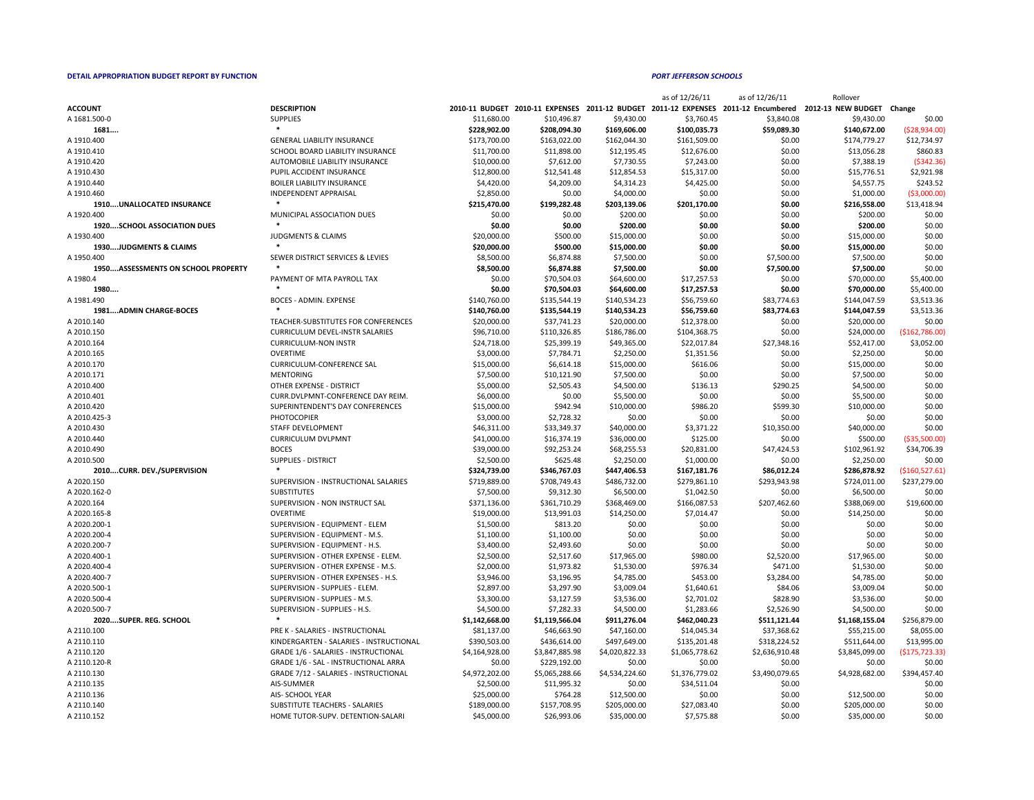|  | w<br>v |  |
|--|--------|--|
|  |        |  |

|                                           |                                                |                |                |                | as of 12/26/11 | as of 12/26/11 | Rollover                                                                                                     |                  |
|-------------------------------------------|------------------------------------------------|----------------|----------------|----------------|----------------|----------------|--------------------------------------------------------------------------------------------------------------|------------------|
| <b>ACCOUNT</b>                            | <b>DESCRIPTION</b>                             |                |                |                |                |                | 2010-11 BUDGET 2010-11 EXPENSES 2011-12 BUDGET 2011-12 EXPENSES 2011-12 Encumbered 2012-13 NEW BUDGET Change |                  |
| A 1681.500-0                              | <b>SUPPLIES</b>                                | \$11,680.00    | \$10,496.87    | \$9,430.00     | \$3,760.45     | \$3,840.08     | \$9,430.00                                                                                                   | \$0.00           |
| 1681                                      |                                                | \$228,902.00   | \$208,094.30   | \$169,606.00   | \$100,035.73   | \$59,089.30    | \$140,672.00                                                                                                 | (528, 934.00)    |
| A 1910.400                                | <b>GENERAL LIABILITY INSURANCE</b>             | \$173,700.00   | \$163,022.00   | \$162,044.30   | \$161,509.00   | \$0.00         | \$174,779.27                                                                                                 | \$12,734.97      |
| A 1910.410                                | SCHOOL BOARD LIABILITY INSURANCE               | \$11,700.00    | \$11,898.00    | \$12,195.45    | \$12,676.00    | \$0.00         | \$13,056.28                                                                                                  | \$860.83         |
| A 1910.420                                | AUTOMOBILE LIABILITY INSURANCE                 | \$10,000.00    | \$7,612.00     | \$7,730.55     | \$7,243.00     | \$0.00         | \$7,388.19                                                                                                   | ( \$342.36)      |
| A 1910.430                                | PUPIL ACCIDENT INSURANCE                       | \$12,800.00    | \$12,541.48    | \$12,854.53    | \$15,317.00    | \$0.00         | \$15,776.51                                                                                                  | \$2,921.98       |
| A 1910.440                                | <b>BOILER LIABILITY INSURANCE</b>              | \$4,420.00     | \$4,209.00     | \$4,314.23     | \$4,425.00     | \$0.00         | \$4,557.75                                                                                                   | \$243.52         |
| A 1910.460                                | <b>INDEPENDENT APPRAISAL</b>                   | \$2,850.00     | \$0.00         | \$4,000.00     | \$0.00         | \$0.00         | \$1,000.00                                                                                                   | ( \$3,000.00]    |
| <b>1910UNALLOCATED INSURANCE</b>          |                                                | \$215,470.00   | \$199,282.48   | \$203,139.06   | \$201,170.00   | \$0.00         | \$216,558.00                                                                                                 | \$13,418.94      |
| A 1920.400                                | MUNICIPAL ASSOCIATION DUES                     | \$0.00         | \$0.00         | \$200.00       | \$0.00         | \$0.00         | \$200.00                                                                                                     | \$0.00           |
| <b>1920SCHOOL ASSOCIATION DUES</b>        |                                                | \$0.00         | \$0.00         | \$200.00       | \$0.00         | \$0.00         | \$200.00                                                                                                     | \$0.00           |
| A 1930.400                                | <b>JUDGMENTS &amp; CLAIMS</b>                  | \$20,000.00    | \$500.00       | \$15,000.00    | \$0.00         | \$0.00         | \$15,000.00                                                                                                  | \$0.00           |
| 1930JUDGMENTS & CLAIMS                    |                                                | \$20,000.00    | \$500.00       | \$15,000.00    | \$0.00         | \$0.00         | \$15,000.00                                                                                                  | \$0.00           |
| A 1950.400                                | SEWER DISTRICT SERVICES & LEVIES               | \$8,500.00     | \$6,874.88     | \$7,500.00     | \$0.00         | \$7,500.00     | \$7,500.00                                                                                                   | \$0.00           |
| <b>1950ASSESSMENTS ON SCHOOL PROPERTY</b> |                                                | \$8,500.00     | \$6,874.88     | \$7,500.00     | \$0.00         | \$7,500.00     | \$7,500.00                                                                                                   | \$0.00           |
| A 1980.4                                  | PAYMENT OF MTA PAYROLL TAX                     | \$0.00         | \$70,504.03    | \$64,600.00    | \$17,257.53    | \$0.00         | \$70,000.00                                                                                                  | \$5,400.00       |
| 1980                                      |                                                | \$0.00         | \$70,504.03    | \$64,600.00    | \$17,257.53    | \$0.00         | \$70,000.00                                                                                                  | \$5,400.00       |
| A 1981.490                                | BOCES - ADMIN. EXPENSE                         | \$140,760.00   | \$135,544.19   | \$140,534.23   | \$56,759.60    | \$83,774.63    | \$144,047.59                                                                                                 | \$3,513.36       |
| 1981ADMIN CHARGE-BOCES                    |                                                | \$140,760.00   | \$135,544.19   | \$140,534.23   | \$56,759.60    | \$83,774.63    | \$144,047.59                                                                                                 | \$3,513.36       |
| A 2010.140                                | TEACHER-SUBSTITUTES FOR CONFERENCES            | \$20,000.00    | \$37,741.23    | \$20,000.00    | \$12,378.00    | \$0.00         | \$20,000.00                                                                                                  | \$0.00           |
| A 2010.150                                | <b>CURRICULUM DEVEL-INSTR SALARIES</b>         | \$96,710.00    | \$110,326.85   | \$186,786.00   | \$104,368.75   | \$0.00         | \$24,000.00                                                                                                  | (\$162,786.00)   |
|                                           |                                                |                |                |                |                |                |                                                                                                              |                  |
| A 2010.164                                | <b>CURRICULUM-NON INSTR</b><br><b>OVERTIME</b> | \$24,718.00    | \$25,399.19    | \$49,365.00    | \$22,017.84    | \$27,348.16    | \$52,417.00                                                                                                  | \$3,052.00       |
| A 2010.165                                |                                                | \$3,000.00     | \$7,784.71     | \$2,250.00     | \$1,351.56     | \$0.00         | \$2,250.00                                                                                                   | \$0.00           |
| A 2010.170                                | <b>CURRICULUM-CONFERENCE SAL</b>               | \$15,000.00    | \$6,614.18     | \$15,000.00    | \$616.06       | \$0.00         | \$15,000.00                                                                                                  | \$0.00           |
| A 2010.171                                | <b>MENTORING</b>                               | \$7,500.00     | \$10,121.90    | \$7,500.00     | \$0.00         | \$0.00         | \$7,500.00                                                                                                   | \$0.00           |
| A 2010.400                                | <b>OTHER EXPENSE - DISTRICT</b>                | \$5,000.00     | \$2,505.43     | \$4,500.00     | \$136.13       | \$290.25       | \$4,500.00                                                                                                   | \$0.00           |
| A 2010.401                                | CURR.DVLPMNT-CONFERENCE DAY REIM.              | \$6,000.00     | \$0.00         | \$5,500.00     | \$0.00         | \$0.00         | \$5,500.00                                                                                                   | \$0.00           |
| A 2010.420                                | SUPERINTENDENT'S DAY CONFERENCES               | \$15,000.00    | \$942.94       | \$10,000.00    | \$986.20       | \$599.30       | \$10,000.00                                                                                                  | \$0.00           |
| A 2010.425-3                              | <b>PHOTOCOPIER</b>                             | \$3,000.00     | \$2,728.32     | \$0.00         | \$0.00         | \$0.00         | \$0.00                                                                                                       | \$0.00           |
| A 2010.430                                | STAFF DEVELOPMENT                              | \$46,311.00    | \$33,349.37    | \$40,000.00    | \$3,371.22     | \$10,350.00    | \$40,000.00                                                                                                  | \$0.00           |
| A 2010.440                                | <b>CURRICULUM DVLPMNT</b>                      | \$41,000.00    | \$16,374.19    | \$36,000.00    | \$125.00       | \$0.00         | \$500.00                                                                                                     | ( \$35,500.00]   |
| A 2010.490                                | <b>BOCES</b>                                   | \$39,000.00    | \$92,253.24    | \$68,255.53    | \$20,831.00    | \$47,424.53    | \$102,961.92                                                                                                 | \$34,706.39      |
| A 2010.500                                | <b>SUPPLIES - DISTRICT</b>                     | \$2,500.00     | \$625.48       | \$2,250.00     | \$1,000.00     | \$0.00         | \$2,250.00                                                                                                   | \$0.00           |
| 2010CURR. DEV./SUPERVISION                |                                                | \$324,739.00   | \$346,767.03   | \$447,406.53   | \$167,181.76   | \$86,012.24    | \$286,878.92                                                                                                 | ( \$160, 527.61] |
| A 2020.150                                | SUPERVISION - INSTRUCTIONAL SALARIES           | \$719,889.00   | \$708,749.43   | \$486,732.00   | \$279,861.10   | \$293,943.98   | \$724,011.00                                                                                                 | \$237,279.00     |
| A 2020.162-0                              | <b>SUBSTITUTES</b>                             | \$7,500.00     | \$9,312.30     | \$6,500.00     | \$1,042.50     | \$0.00         | \$6,500.00                                                                                                   | \$0.00           |
| A 2020.164                                | SUPERVISION - NON INSTRUCT SAL                 | \$371,136.00   | \$361,710.29   | \$368,469.00   | \$166,087.53   | \$207,462.60   | \$388,069.00                                                                                                 | \$19,600.00      |
| A 2020.165-8                              | <b>OVERTIME</b>                                | \$19,000.00    | \$13,991.03    | \$14,250.00    | \$7,014.47     | \$0.00         | \$14,250.00                                                                                                  | \$0.00           |
| A 2020.200-1                              | SUPERVISION - EQUIPMENT - ELEM                 | \$1,500.00     | \$813.20       | \$0.00         | \$0.00         | \$0.00         | \$0.00                                                                                                       | \$0.00           |
| A 2020.200-4                              | SUPERVISION - EQUIPMENT - M.S.                 | \$1,100.00     | \$1,100.00     | \$0.00         | \$0.00         | \$0.00         | \$0.00                                                                                                       | \$0.00           |
| A 2020.200-7                              | SUPERVISION - EQUIPMENT - H.S.                 | \$3,400.00     | \$2,493.60     | \$0.00         | \$0.00         | \$0.00         | \$0.00                                                                                                       | \$0.00           |
| A 2020.400-1                              | SUPERVISION - OTHER EXPENSE - ELEM.            | \$2,500.00     | \$2,517.60     | \$17,965.00    | \$980.00       | \$2,520.00     | \$17,965.00                                                                                                  | \$0.00           |
| A 2020.400-4                              | SUPERVISION - OTHER EXPENSE - M.S.             | \$2,000.00     | \$1,973.82     | \$1,530.00     | \$976.34       | \$471.00       | \$1,530.00                                                                                                   | \$0.00           |
| A 2020.400-7                              | SUPERVISION - OTHER EXPENSES - H.S.            | \$3,946.00     | \$3,196.95     | \$4,785.00     | \$453.00       | \$3,284.00     | \$4,785.00                                                                                                   | \$0.00           |
| A 2020.500-1                              | SUPERVISION - SUPPLIES - ELEM.                 | \$2,897.00     | \$3,297.90     | \$3,009.04     | \$1,640.61     | \$84.06        | \$3,009.04                                                                                                   | \$0.00           |
| A 2020.500-4                              | SUPERVISION - SUPPLIES - M.S.                  | \$3,300.00     | \$3,127.59     | \$3,536.00     | \$2,701.02     | \$828.90       | \$3,536.00                                                                                                   | \$0.00           |
| A 2020.500-7                              | SUPERVISION - SUPPLIES - H.S.                  | \$4,500.00     | \$7,282.33     | \$4,500.00     | \$1,283.66     | \$2,526.90     | \$4,500.00                                                                                                   | \$0.00           |
| 2020SUPER. REG. SCHOOL                    |                                                | \$1,142,668.00 | \$1,119,566.04 | \$911,276.04   | \$462,040.23   | \$511,121.44   | \$1,168,155.04                                                                                               | \$256,879.00     |
|                                           | PRE K - SALARIES - INSTRUCTIONAL               | \$81,137.00    |                |                |                |                |                                                                                                              |                  |
| A 2110.100<br>A 2110.110                  | KINDERGARTEN - SALARIES - INSTRUCTIONAL        |                | \$46,663.90    | \$47,160.00    | \$14,045.34    | \$37,368.62    | \$55,215.00                                                                                                  | \$8,055.00       |
|                                           |                                                | \$390,503.00   | \$436,614.00   | \$497,649.00   | \$135,201.48   | \$318,224.52   | \$511,644.00                                                                                                 | \$13,995.00      |
| A 2110.120                                | <b>GRADE 1/6 - SALARIES - INSTRUCTIONAL</b>    | \$4,164,928.00 | \$3,847,885.98 | \$4,020,822.33 | \$1,065,778.62 | \$2,636,910.48 | \$3,845,099.00                                                                                               | ( \$175, 723.33) |
| A 2110.120-R                              | <b>GRADE 1/6 - SAL - INSTRUCTIONAL ARRA</b>    | \$0.00         | \$229,192.00   | \$0.00         | \$0.00         | \$0.00         | \$0.00                                                                                                       | \$0.00           |
| A 2110.130                                | <b>GRADE 7/12 - SALARIES - INSTRUCTIONAL</b>   | \$4,972,202.00 | \$5,065,288.66 | \$4,534,224.60 | \$1,376,779.02 | \$3,490,079.65 | \$4,928,682.00                                                                                               | \$394,457.40     |
| A 2110.135                                | AIS-SUMMER                                     | \$2,500.00     | \$11,995.32    | \$0.00         | \$34,511.04    | \$0.00         |                                                                                                              | \$0.00           |
| A 2110.136                                | AIS- SCHOOL YEAR                               | \$25,000.00    | \$764.28       | \$12,500.00    | \$0.00         | \$0.00         | \$12,500.00                                                                                                  | \$0.00           |
| A 2110.140                                | SUBSTITUTE TEACHERS - SALARIES                 | \$189,000.00   | \$157,708.95   | \$205,000.00   | \$27,083.40    | \$0.00         | \$205,000.00                                                                                                 | \$0.00           |
| A 2110.152                                | HOME TUTOR-SUPV. DETENTION-SALARI              | \$45,000.00    | \$26,993.06    | \$35,000.00    | \$7,575.88     | \$0.00         | \$35,000.00                                                                                                  | \$0.00           |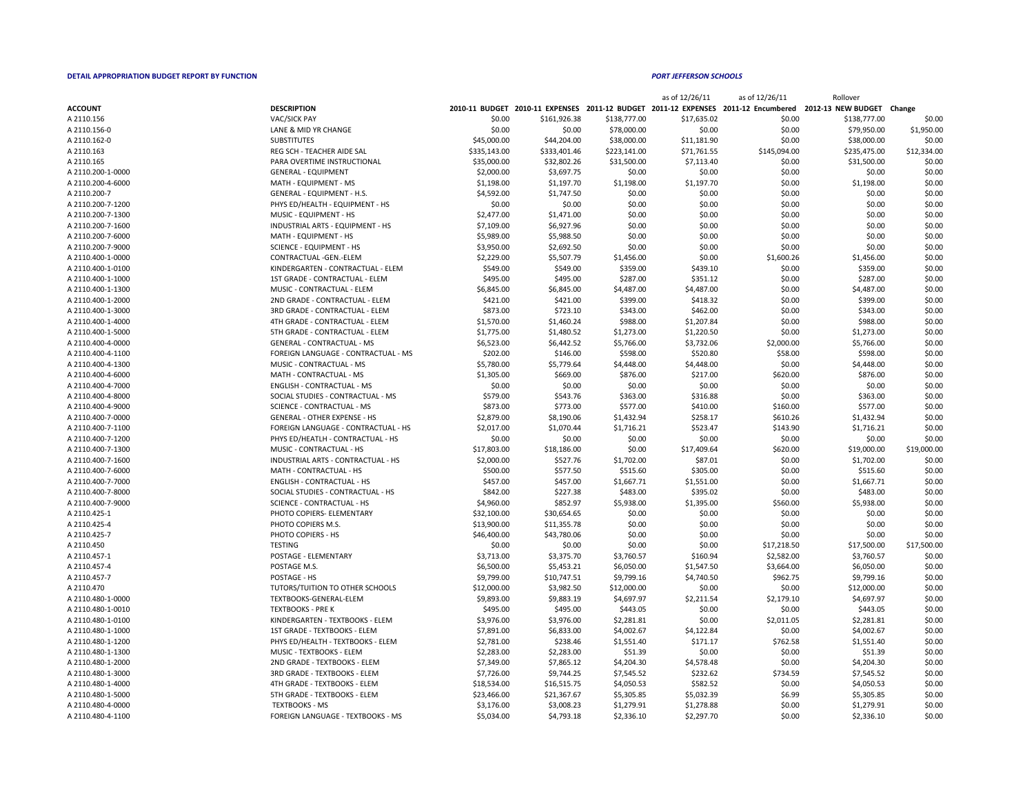| as of 12/26/11 | as of 12/26/11     | Rollover           |             |
|----------------|--------------------|--------------------|-------------|
| 11-12 EXPENSES | 2011-12 Encumbered | 2012-13 NEW BUDGET | Change      |
| \$17,635.02    | \$0.00             | \$138,777.00       | \$0.00      |
| \$0.00         | \$0.00             | \$79,950.00        | \$1,950.00  |
| \$11,181.90    | \$0.00             | \$38,000.00        | \$0.00      |
| \$71,761.55    | \$145,094.00       | \$235,475.00       | \$12,334.00 |
| \$7,113.40     | \$0.00             | \$31,500.00        | \$0.00      |
| \$0.00         | \$0.00             | \$0.00             | \$0.00      |
| \$1,197.70     | \$0.00             | \$1,198.00         | \$0.00      |
| \$0.00         | \$0.00             | \$0.00             | \$0.00      |
| \$0.00         | \$0.00             | \$0.00             | \$0.00      |
| \$0.00         | \$0.00             | \$0.00             | \$0.00      |
| \$0.00         | \$0.00             | \$0.00             | \$0.00      |
| \$0.00         | \$0.00             | \$0.00             | \$0.00      |
| \$0.00         | \$0.00             | \$0.00             | \$0.00      |
| \$0.00         | \$1,600.26         | \$1,456.00         | \$0.00      |
| \$439.10       | \$0.00             | \$359.00           | \$0.00      |
| \$351.12       | \$0.00             | \$287.00           | \$0.00      |
| \$4,487.00     | \$0.00             | \$4,487.00         | \$0.00      |
| \$418.32       | \$0.00             | \$399.00           | \$0.00      |
| \$462.00       | \$0.00             | \$343.00           | \$0.00      |
| \$1,207.84     | \$0.00             | \$988.00           | \$0.00      |
| \$1,220.50     | \$0.00             | \$1,273.00         | \$0.00      |
| \$3,732.06     | \$2,000.00         | \$5,766.00         | \$0.00      |
| \$520.80       | \$58.00            | \$598.00           | \$0.00      |
| \$4,448.00     | \$0.00             | \$4,448.00         | \$0.00      |
| \$217.00       | \$620.00           | \$876.00           | \$0.00      |
| \$0.00         | \$0.00             | \$0.00             | \$0.00      |
| \$316.88       | \$0.00             | \$363.00           | \$0.00      |
| \$410.00       | \$160.00           | \$577.00           | \$0.00      |
| \$258.17       | \$610.26           | \$1,432.94         | \$0.00      |
| \$523.47       | \$143.90           | \$1,716.21         | \$0.00      |
| \$0.00         | \$0.00             | \$0.00             | \$0.00      |
| \$17,409.64    | \$620.00           | \$19,000.00        | \$19,000.00 |
| \$87.01        | \$0.00             | \$1,702.00         | \$0.00      |
| \$305.00       | \$0.00             | \$515.60           | \$0.00      |
| \$1,551.00     | \$0.00             | \$1,667.71         | \$0.00      |
| \$395.02       | \$0.00             | \$483.00           | \$0.00      |
| \$1,395.00     | \$560.00           | \$5,938.00         | \$0.00      |
| \$0.00         | \$0.00             | \$0.00             | \$0.00      |
| \$0.00         | \$0.00             | \$0.00             | \$0.00      |
| \$0.00         | \$0.00             | \$0.00             | \$0.00      |
| \$0.00         | \$17,218.50        | \$17,500.00        | \$17,500.00 |
| \$160.94       | \$2,582.00         | \$3,760.57         | \$0.00      |
| \$1,547.50     | \$3,664.00         | \$6,050.00         | \$0.00      |
| \$4,740.50     | \$962.75           | \$9,799.16         | \$0.00      |
| \$0.00         | \$0.00             | \$12,000.00        | \$0.00      |
| \$2,211.54     | \$2,179.10         | \$4,697.97         | \$0.00      |
| \$0.00         | \$0.00             | \$443.05           | \$0.00      |
| \$0.00         | \$2,011.05         | \$2,281.81         | \$0.00      |
| \$4,122.84     | \$0.00             | \$4,002.67         | \$0.00      |
| \$171.17       | \$762.58           | \$1,551.40         | \$0.00      |
| \$0.00         | \$0.00             | \$51.39            | \$0.00      |
| \$4,578.48     | \$0.00             | \$4,204.30         | \$0.00      |
| \$232.62       | \$734.59           | \$7,545.52         | \$0.00      |
| \$582.52       | \$0.00             | \$4,050.53         | \$0.00      |
| \$5,032.39     | \$6.99             | \$5,305.85         | \$0.00      |
| \$1,278.88     | \$0.00             | \$1,279.91         | \$0.00      |
| \$2,297.70     | \$0.00             | \$2,336.10         | \$0.00      |
|                |                    |                    |             |

|                   |                                     |              |              |              | $dy = 12/20/11$ | $d$ or $L$ $L$ $L$ $U$ $L$ $L$ | <b>NUILUVEI</b>                                                                                              |             |
|-------------------|-------------------------------------|--------------|--------------|--------------|-----------------|--------------------------------|--------------------------------------------------------------------------------------------------------------|-------------|
| <b>ACCOUNT</b>    | <b>DESCRIPTION</b>                  |              |              |              |                 |                                | 2010-11 BUDGET 2010-11 EXPENSES 2011-12 BUDGET 2011-12 EXPENSES 2011-12 Encumbered 2012-13 NEW BUDGET Change |             |
| A 2110.156        | <b>VAC/SICK PAY</b>                 | \$0.00       | \$161,926.38 | \$138,777.00 | \$17,635.02     | \$0.00                         | \$138,777.00                                                                                                 | \$0.00      |
| A 2110.156-0      | LANE & MID YR CHANGE                | \$0.00       | \$0.00       | \$78,000.00  | \$0.00          | \$0.00                         | \$79,950.00                                                                                                  | \$1,950.00  |
| A 2110.162-0      | <b>SUBSTITUTES</b>                  | \$45,000.00  | \$44,204.00  | \$38,000.00  | \$11,181.90     | \$0.00                         | \$38,000.00                                                                                                  | \$0.00      |
| A 2110.163        | REG SCH - TEACHER AIDE SAL          | \$335,143.00 | \$333,401.46 | \$223,141.00 | \$71,761.55     | \$145,094.00                   | \$235,475.00                                                                                                 | \$12,334.00 |
| A 2110.165        | PARA OVERTIME INSTRUCTIONAL         | \$35,000.00  | \$32,802.26  | \$31,500.00  | \$7,113.40      | \$0.00                         | \$31,500.00                                                                                                  | \$0.00      |
| A 2110.200-1-0000 | <b>GENERAL - EQUIPMENT</b>          | \$2,000.00   | \$3,697.75   | \$0.00       | \$0.00          | \$0.00                         | \$0.00                                                                                                       | \$0.00      |
| A 2110.200-4-6000 | MATH - EQUIPMENT - MS               | \$1,198.00   | \$1,197.70   | \$1,198.00   | \$1,197.70      | \$0.00                         | \$1,198.00                                                                                                   | \$0.00      |
| A 2110.200-7      | <b>GENERAL - EQUIPMENT - H.S.</b>   | \$4,592.00   | \$1,747.50   | \$0.00       | \$0.00          | \$0.00                         | \$0.00                                                                                                       | \$0.00      |
| A 2110.200-7-1200 | PHYS ED/HEALTH - EQUIPMENT - HS     | \$0.00       | \$0.00       | \$0.00       | \$0.00          | \$0.00                         | \$0.00                                                                                                       | \$0.00      |
| A 2110.200-7-1300 | MUSIC - EQUIPMENT - HS              | \$2,477.00   | \$1,471.00   | \$0.00       | \$0.00          | \$0.00                         | \$0.00                                                                                                       | \$0.00      |
| A 2110.200-7-1600 | INDUSTRIAL ARTS - EQUIPMENT - HS    | \$7,109.00   | \$6,927.96   | \$0.00       | \$0.00          | \$0.00                         | \$0.00                                                                                                       | \$0.00      |
| A 2110.200-7-6000 | MATH - EQUIPMENT - HS               | \$5,989.00   | \$5,988.50   | \$0.00       | \$0.00          | \$0.00                         | \$0.00                                                                                                       | \$0.00      |
| A 2110.200-7-9000 | <b>SCIENCE - EQUIPMENT - HS</b>     | \$3,950.00   | \$2,692.50   | \$0.00       | \$0.00          | \$0.00                         | \$0.00                                                                                                       | \$0.00      |
| A 2110.400-1-0000 | CONTRACTUAL - GEN. - ELEM           | \$2,229.00   | \$5,507.79   | \$1,456.00   | \$0.00          | \$1,600.26                     | \$1,456.00                                                                                                   | \$0.00      |
| A 2110.400-1-0100 | KINDERGARTEN - CONTRACTUAL - ELEM   | \$549.00     | \$549.00     | \$359.00     | \$439.10        | \$0.00                         | \$359.00                                                                                                     | \$0.00      |
| A 2110.400-1-1000 | 1ST GRADE - CONTRACTUAL - ELEM      | \$495.00     | \$495.00     | \$287.00     | \$351.12        | \$0.00                         | \$287.00                                                                                                     | \$0.00      |
| A 2110.400-1-1300 | MUSIC - CONTRACTUAL - ELEM          | \$6,845.00   | \$6,845.00   | \$4,487.00   | \$4,487.00      | \$0.00                         | \$4,487.00                                                                                                   | \$0.00      |
| A 2110.400-1-2000 | 2ND GRADE - CONTRACTUAL - ELEM      | \$421.00     | \$421.00     | \$399.00     | \$418.32        | \$0.00                         | \$399.00                                                                                                     | \$0.00      |
| A 2110.400-1-3000 | 3RD GRADE - CONTRACTUAL - ELEM      | \$873.00     | \$723.10     | \$343.00     | \$462.00        | \$0.00                         | \$343.00                                                                                                     | \$0.00      |
| A 2110.400-1-4000 | 4TH GRADE - CONTRACTUAL - ELEM      | \$1,570.00   | \$1,460.24   | \$988.00     | \$1,207.84      | \$0.00                         | \$988.00                                                                                                     | \$0.00      |
| A 2110.400-1-5000 | 5TH GRADE - CONTRACTUAL - ELEM      | \$1,775.00   | \$1,480.52   | \$1,273.00   | \$1,220.50      | \$0.00                         | \$1,273.00                                                                                                   | \$0.00      |
| A 2110.400-4-0000 | <b>GENERAL - CONTRACTUAL - MS</b>   | \$6,523.00   | \$6,442.52   | \$5,766.00   | \$3,732.06      | \$2,000.00                     | \$5,766.00                                                                                                   | \$0.00      |
| A 2110.400-4-1100 | FOREIGN LANGUAGE - CONTRACTUAL - MS | \$202.00     | \$146.00     | \$598.00     | \$520.80        | \$58.00                        | \$598.00                                                                                                     | \$0.00      |
| A 2110.400-4-1300 | MUSIC - CONTRACTUAL - MS            | \$5,780.00   | \$5,779.64   | \$4,448.00   | \$4,448.00      | \$0.00                         | \$4,448.00                                                                                                   | \$0.00      |
| A 2110.400-4-6000 | MATH - CONTRACTUAL - MS             | \$1,305.00   | \$669.00     | \$876.00     | \$217.00        | \$620.00                       | \$876.00                                                                                                     | \$0.00      |
| A 2110.400-4-7000 | <b>ENGLISH - CONTRACTUAL - MS</b>   | \$0.00       | \$0.00       | \$0.00       | \$0.00          | \$0.00                         | \$0.00                                                                                                       | \$0.00      |
| A 2110.400-4-8000 | SOCIAL STUDIES - CONTRACTUAL - MS   | \$579.00     | \$543.76     | \$363.00     | \$316.88        | \$0.00                         | \$363.00                                                                                                     | \$0.00      |
| A 2110.400-4-9000 | <b>SCIENCE - CONTRACTUAL - MS</b>   | \$873.00     | \$773.00     | \$577.00     | \$410.00        | \$160.00                       | \$577.00                                                                                                     | \$0.00      |
| A 2110.400-7-0000 | <b>GENERAL - OTHER EXPENSE - HS</b> | \$2,879.00   | \$8,190.06   | \$1,432.94   | \$258.17        | \$610.26                       | \$1,432.94                                                                                                   | \$0.00      |
| A 2110.400-7-1100 | FOREIGN LANGUAGE - CONTRACTUAL - HS | \$2,017.00   | \$1,070.44   | \$1,716.21   | \$523.47        | \$143.90                       | \$1,716.21                                                                                                   | \$0.00      |
| A 2110.400-7-1200 | PHYS ED/HEATLH - CONTRACTUAL - HS   | \$0.00       | \$0.00       | \$0.00       | \$0.00          | \$0.00                         | \$0.00                                                                                                       | \$0.00      |
|                   | MUSIC - CONTRACTUAL - HS            |              |              |              |                 |                                |                                                                                                              | \$19,000.00 |
| A 2110.400-7-1300 |                                     | \$17,803.00  | \$18,186.00  | \$0.00       | \$17,409.64     | \$620.00                       | \$19,000.00                                                                                                  |             |
| A 2110.400-7-1600 | INDUSTRIAL ARTS - CONTRACTUAL - HS  | \$2,000.00   | \$527.76     | \$1,702.00   | \$87.01         | \$0.00                         | \$1,702.00                                                                                                   | \$0.00      |
| A 2110.400-7-6000 | MATH - CONTRACTUAL - HS             | \$500.00     | \$577.50     | \$515.60     | \$305.00        | \$0.00                         | \$515.60                                                                                                     | \$0.00      |
| A 2110.400-7-7000 | <b>ENGLISH - CONTRACTUAL - HS</b>   | \$457.00     | \$457.00     | \$1,667.71   | \$1,551.00      | \$0.00                         | \$1,667.71                                                                                                   | \$0.00      |
| A 2110.400-7-8000 | SOCIAL STUDIES - CONTRACTUAL - HS   | \$842.00     | \$227.38     | \$483.00     | \$395.02        | \$0.00                         | \$483.00                                                                                                     | \$0.00      |
| A 2110.400-7-9000 | <b>SCIENCE - CONTRACTUAL - HS</b>   | \$4,960.00   | \$852.97     | \$5,938.00   | \$1,395.00      | \$560.00                       | \$5,938.00                                                                                                   | \$0.00      |
| A 2110.425-1      | PHOTO COPIERS- ELEMENTARY           | \$32,100.00  | \$30,654.65  | \$0.00       | \$0.00          | \$0.00                         | \$0.00                                                                                                       | \$0.00      |
| A 2110.425-4      | PHOTO COPIERS M.S.                  | \$13,900.00  | \$11,355.78  | \$0.00       | \$0.00          | \$0.00                         | \$0.00                                                                                                       | \$0.00      |
| A 2110.425-7      | PHOTO COPIERS - HS                  | \$46,400.00  | \$43,780.06  | \$0.00       | \$0.00          | \$0.00                         | \$0.00                                                                                                       | \$0.00      |
| A 2110.450        | <b>TESTING</b>                      | \$0.00       | \$0.00       | \$0.00       | \$0.00          | \$17,218.50                    | \$17,500.00                                                                                                  | \$17,500.00 |
| A 2110.457-1      | POSTAGE - ELEMENTARY                | \$3,713.00   | \$3,375.70   | \$3,760.57   | \$160.94        | \$2,582.00                     | \$3,760.57                                                                                                   | \$0.00      |
| A 2110.457-4      | POSTAGE M.S.                        | \$6,500.00   | \$5,453.21   | \$6,050.00   | \$1,547.50      | \$3,664.00                     | \$6,050.00                                                                                                   | \$0.00      |
| A 2110.457-7      | POSTAGE - HS                        | \$9,799.00   | \$10,747.51  | \$9,799.16   | \$4,740.50      | \$962.75                       | \$9,799.16                                                                                                   | \$0.00      |
| A 2110.470        | TUTORS/TUITION TO OTHER SCHOOLS     | \$12,000.00  | \$3,982.50   | \$12,000.00  | \$0.00          | \$0.00                         | \$12,000.00                                                                                                  | \$0.00      |
| A 2110.480-1-0000 | TEXTBOOKS-GENERAL-ELEM              | \$9,893.00   | \$9,883.19   | \$4,697.97   | \$2,211.54      | \$2,179.10                     | \$4,697.97                                                                                                   | \$0.00      |
| A 2110.480-1-0010 | <b>TEXTBOOKS - PRE K</b>            | \$495.00     | \$495.00     | \$443.05     | \$0.00          | \$0.00                         | \$443.05                                                                                                     | \$0.00      |
| A 2110.480-1-0100 | KINDERGARTEN - TEXTBOOKS - ELEM     | \$3,976.00   | \$3,976.00   | \$2,281.81   | \$0.00          | \$2,011.05                     | \$2,281.81                                                                                                   | \$0.00      |
| A 2110.480-1-1000 | 1ST GRADE - TEXTBOOKS - ELEM        | \$7,891.00   | \$6,833.00   | \$4,002.67   | \$4,122.84      | \$0.00                         | \$4,002.67                                                                                                   | \$0.00      |
| A 2110.480-1-1200 | PHYS ED/HEALTH - TEXTBOOKS - ELEM   | \$2,781.00   | \$238.46     | \$1,551.40   | \$171.17        | \$762.58                       | \$1,551.40                                                                                                   | \$0.00      |
| A 2110.480-1-1300 | MUSIC - TEXTBOOKS - ELEM            | \$2,283.00   | \$2,283.00   | \$51.39      | \$0.00          | \$0.00                         | \$51.39                                                                                                      | \$0.00      |
| A 2110.480-1-2000 | 2ND GRADE - TEXTBOOKS - ELEM        | \$7,349.00   | \$7,865.12   | \$4,204.30   | \$4,578.48      | \$0.00                         | \$4,204.30                                                                                                   | \$0.00      |
| A 2110.480-1-3000 | 3RD GRADE - TEXTBOOKS - ELEM        | \$7,726.00   | \$9,744.25   | \$7,545.52   | \$232.62        | \$734.59                       | \$7,545.52                                                                                                   | \$0.00      |
| A 2110.480-1-4000 | 4TH GRADE - TEXTBOOKS - ELEM        | \$18,534.00  | \$16,515.75  | \$4,050.53   | \$582.52        | \$0.00                         | \$4,050.53                                                                                                   | \$0.00      |
| A 2110.480-1-5000 | 5TH GRADE - TEXTBOOKS - ELEM        | \$23,466.00  | \$21,367.67  | \$5,305.85   | \$5,032.39      | \$6.99                         | \$5,305.85                                                                                                   | \$0.00      |
| A 2110.480-4-0000 | <b>TEXTBOOKS - MS</b>               | \$3,176.00   | \$3,008.23   | \$1,279.91   | \$1,278.88      | \$0.00                         | \$1,279.91                                                                                                   | \$0.00      |
| A 2110.480-4-1100 | FOREIGN LANGUAGE - TEXTBOOKS - MS   | \$5,034.00   | \$4,793.18   | \$2,336.10   | \$2,297.70      | \$0.00                         | \$2,336.10                                                                                                   | \$0.00      |
|                   |                                     |              |              |              |                 |                                |                                                                                                              |             |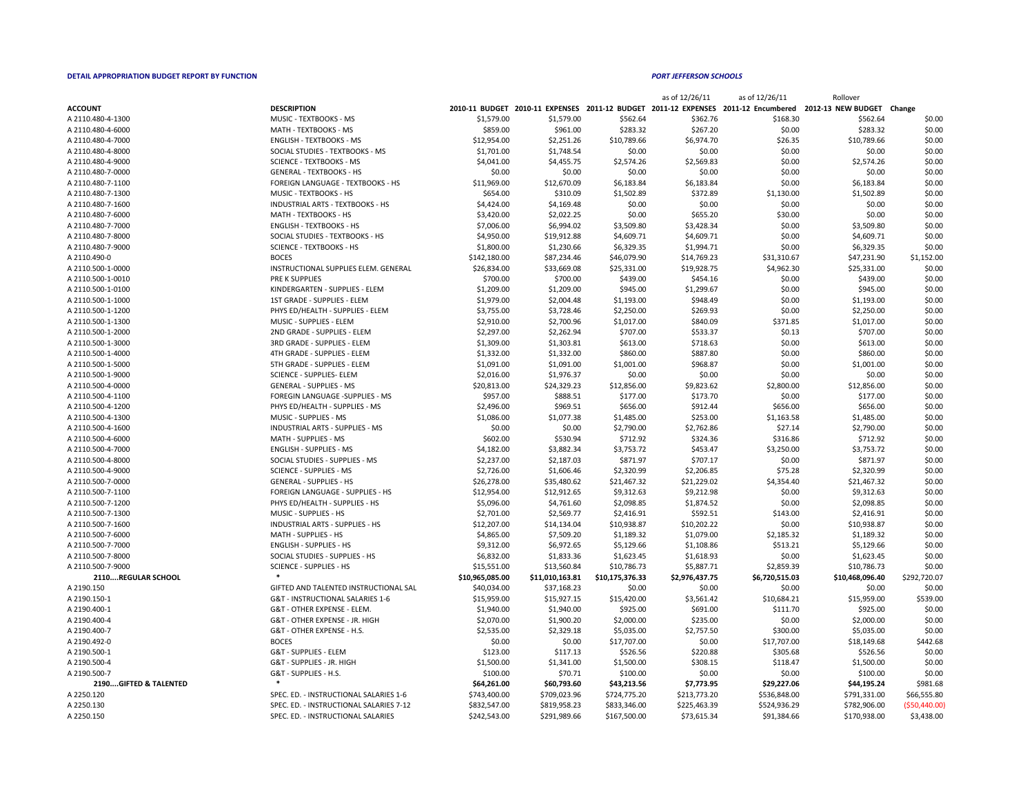| <b>ACCOUNT</b>     | <b>DESCRIPTION</b>                                     |                 |                 |                          |                |                | 2010-11 BUDGET 2010-11 EXPENSES 2011-12 BUDGET 2011-12 EXPENSES 2011-12 Encumbered 2012-13 NEW BUDGET Change |                  |
|--------------------|--------------------------------------------------------|-----------------|-----------------|--------------------------|----------------|----------------|--------------------------------------------------------------------------------------------------------------|------------------|
| A 2110.480-4-1300  | MUSIC - TEXTBOOKS - MS                                 | \$1,579.00      | \$1,579.00      | \$562.64                 | \$362.76       | \$168.30       | \$562.64                                                                                                     | \$0.00           |
| A 2110.480-4-6000  | MATH - TEXTBOOKS - MS                                  | \$859.00        | \$961.00        | \$283.32                 | \$267.20       | \$0.00         | \$283.32                                                                                                     | \$0.00           |
| A 2110.480-4-7000  | <b>ENGLISH - TEXTBOOKS - MS</b>                        | \$12,954.00     | \$2,251.26      | \$10,789.66              | \$6,974.70     | \$26.35        | \$10,789.66                                                                                                  | \$0.00           |
| A 2110.480-4-8000  | SOCIAL STUDIES - TEXTBOOKS - MS                        | \$1,701.00      | \$1,748.54      | \$0.00                   | \$0.00         | \$0.00         | \$0.00                                                                                                       | \$0.00           |
| A 2110.480-4-9000  | <b>SCIENCE - TEXTBOOKS - MS</b>                        | \$4,041.00      | \$4,455.75      | \$2,574.26               | \$2,569.83     | \$0.00         | \$2,574.26                                                                                                   | \$0.00           |
| A 2110.480-7-0000  | <b>GENERAL - TEXTBOOKS - HS</b>                        | \$0.00          | \$0.00          | \$0.00                   | \$0.00         | \$0.00         | \$0.00                                                                                                       | \$0.00           |
| A 2110.480-7-1100  | <b>FOREIGN LANGUAGE - TEXTBOOKS - HS</b>               | \$11,969.00     | \$12,670.09     | \$6,183.84               | \$6,183.84     | \$0.00         | \$6,183.84                                                                                                   | \$0.00           |
| A 2110.480-7-1300  | MUSIC - TEXTBOOKS - HS                                 | \$654.00        | \$310.09        | \$1,502.89               | \$372.89       | \$1,130.00     | \$1,502.89                                                                                                   | \$0.00           |
| A 2110.480-7-1600  | INDUSTRIAL ARTS - TEXTBOOKS - HS                       | \$4,424.00      | \$4,169.48      | \$0.00                   | \$0.00         | \$0.00         | \$0.00                                                                                                       | \$0.00           |
| A 2110.480-7-6000  | MATH - TEXTBOOKS - HS                                  | \$3,420.00      | \$2,022.25      | \$0.00                   | \$655.20       | \$30.00        | \$0.00                                                                                                       | \$0.00           |
| A 2110.480-7-7000  | <b>ENGLISH - TEXTBOOKS - HS</b>                        | \$7,006.00      | \$6,994.02      | \$3,509.80               | \$3,428.34     | \$0.00         | \$3,509.80                                                                                                   | \$0.00           |
| A 2110.480-7-8000  | SOCIAL STUDIES - TEXTBOOKS - HS                        | \$4,950.00      | \$19,912.88     | \$4,609.71               | \$4,609.71     | \$0.00         | \$4,609.71                                                                                                   | \$0.00           |
| A 2110.480-7-9000  | <b>SCIENCE - TEXTBOOKS - HS</b>                        | \$1,800.00      | \$1,230.66      | \$6,329.35               | \$1,994.71     | \$0.00         | \$6,329.35                                                                                                   | \$0.00           |
| A 2110.490-0       | <b>BOCES</b>                                           | \$142,180.00    | \$87,234.46     | \$46,079.90              | \$14,769.23    | \$31,310.67    | \$47,231.90                                                                                                  | \$1,152.00       |
| A 2110.500-1-0000  | INSTRUCTIONAL SUPPLIES ELEM. GENERAL                   | \$26,834.00     | \$33,669.08     | \$25,331.00              | \$19,928.75    | \$4,962.30     | \$25,331.00                                                                                                  | \$0.00           |
| A 2110.500-1-0010  | PRE K SUPPLIES                                         | \$700.00        | \$700.00        | \$439.00                 | \$454.16       | \$0.00         | \$439.00                                                                                                     | \$0.00           |
| A 2110.500-1-0100  | KINDERGARTEN - SUPPLIES - ELEM                         | \$1,209.00      | \$1,209.00      | \$945.00                 | \$1,299.67     | \$0.00         | \$945.00                                                                                                     | \$0.00           |
| A 2110.500-1-1000  | 1ST GRADE - SUPPLIES - ELEM                            | \$1,979.00      | \$2,004.48      | \$1,193.00               | \$948.49       | \$0.00         | \$1,193.00                                                                                                   | \$0.00           |
| A 2110.500-1-1200  | PHYS ED/HEALTH - SUPPLIES - ELEM                       | \$3,755.00      | \$3,728.46      | \$2,250.00               | \$269.93       | \$0.00         | \$2,250.00                                                                                                   | \$0.00           |
| A 2110.500-1-1300  | MUSIC - SUPPLIES - ELEM                                | \$2,910.00      | \$2,700.96      | \$1,017.00               | \$840.09       | \$371.85       | \$1,017.00                                                                                                   | \$0.00           |
| A 2110.500-1-2000  | 2ND GRADE - SUPPLIES - ELEM                            | \$2,297.00      | \$2,262.94      | \$707.00                 | \$533.37       | \$0.13         | \$707.00                                                                                                     | \$0.00           |
| A 2110.500-1-3000  | 3RD GRADE - SUPPLIES - ELEM                            | \$1,309.00      | \$1,303.81      | \$613.00                 | \$718.63       | \$0.00         | \$613.00                                                                                                     | \$0.00           |
| A 2110.500-1-4000  | 4TH GRADE - SUPPLIES - ELEM                            | \$1,332.00      | \$1,332.00      | \$860.00                 | \$887.80       | \$0.00         | \$860.00                                                                                                     | \$0.00           |
| A 2110.500-1-5000  | 5TH GRADE - SUPPLIES - ELEM                            | \$1,091.00      | \$1,091.00      | \$1,001.00               | \$968.87       | \$0.00         | \$1,001.00                                                                                                   | \$0.00           |
| A 2110.500-1-9000  | <b>SCIENCE - SUPPLIES- ELEM</b>                        | \$2,016.00      | \$1,976.37      | \$0.00                   | \$0.00         | \$0.00         | \$0.00                                                                                                       | \$0.00           |
| A 2110.500-4-0000  | <b>GENERAL - SUPPLIES - MS</b>                         | \$20,813.00     | \$24,329.23     | \$12,856.00              | \$9,823.62     | \$2,800.00     | \$12,856.00                                                                                                  | \$0.00           |
| A 2110.500-4-1100  | FOREGIN LANGUAGE -SUPPLIES - MS                        | \$957.00        | \$888.51        | \$177.00                 | \$173.70       | \$0.00         | \$177.00                                                                                                     | \$0.00           |
| A 2110.500-4-1200  | PHYS ED/HEALTH - SUPPLIES - MS                         | \$2,496.00      | \$969.51        | \$656.00                 | \$912.44       | \$656.00       | \$656.00                                                                                                     | \$0.00           |
| A 2110.500-4-1300  | MUSIC - SUPPLIES - MS                                  | \$1,086.00      | \$1,077.38      |                          | \$253.00       | \$1,163.58     |                                                                                                              |                  |
| A 2110.500-4-1600  | <b>INDUSTRIAL ARTS - SUPPLIES - MS</b>                 | \$0.00          | \$0.00          | \$1,485.00<br>\$2,790.00 | \$2,762.86     | \$27.14        | \$1,485.00<br>\$2,790.00                                                                                     | \$0.00<br>\$0.00 |
|                    |                                                        |                 |                 |                          |                |                |                                                                                                              |                  |
| A 2110.500-4-6000  | MATH - SUPPLIES - MS<br><b>ENGLISH - SUPPLIES - MS</b> | \$602.00        | \$530.94        | \$712.92                 | \$324.36       | \$316.86       | \$712.92                                                                                                     | \$0.00           |
| A 2110.500-4-7000  |                                                        | \$4,182.00      | \$3,882.34      | \$3,753.72               | \$453.47       | \$3,250.00     | \$3,753.72                                                                                                   | \$0.00           |
| A 2110.500-4-8000  | SOCIAL STUDIES - SUPPLIES - MS                         | \$2,237.00      | \$2,187.03      | \$871.97                 | \$707.17       | \$0.00         | \$871.97                                                                                                     | \$0.00           |
| A 2110.500-4-9000  | <b>SCIENCE - SUPPLIES - MS</b>                         | \$2,726.00      | \$1,606.46      | \$2,320.99               | \$2,206.85     | \$75.28        | \$2,320.99                                                                                                   | \$0.00           |
| A 2110.500-7-0000  | <b>GENERAL - SUPPLIES - HS</b>                         | \$26,278.00     | \$35,480.62     | \$21,467.32              | \$21,229.02    | \$4,354.40     | \$21,467.32                                                                                                  | \$0.00           |
| A 2110.500-7-1100  | FOREIGN LANGUAGE - SUPPLIES - HS                       | \$12,954.00     | \$12,912.65     | \$9,312.63               | \$9,212.98     | \$0.00         | \$9,312.63                                                                                                   | \$0.00           |
| A 2110.500-7-1200  | PHYS ED/HEALTH - SUPPLIES - HS                         | \$5,096.00      | \$4,761.60      | \$2,098.85               | \$1,874.52     | \$0.00         | \$2,098.85                                                                                                   | \$0.00           |
| A 2110.500-7-1300  | MUSIC - SUPPLIES - HS                                  | \$2,701.00      | \$2,569.77      | \$2,416.91               | \$592.51       | \$143.00       | \$2,416.91                                                                                                   | \$0.00           |
| A 2110.500-7-1600  | INDUSTRIAL ARTS - SUPPLIES - HS                        | \$12,207.00     | \$14,134.04     | \$10,938.87              | \$10,202.22    | \$0.00         | \$10,938.87                                                                                                  | \$0.00           |
| A 2110.500-7-6000  | MATH - SUPPLIES - HS                                   | \$4,865.00      | \$7,509.20      | \$1,189.32               | \$1,079.00     | \$2,185.32     | \$1,189.32                                                                                                   | \$0.00           |
| A 2110.500-7-7000  | <b>ENGLISH - SUPPLIES - HS</b>                         | \$9,312.00      | \$6,972.65      | \$5,129.66               | \$1,108.86     | \$513.21       | \$5,129.66                                                                                                   | \$0.00           |
| A 2110.500-7-8000  | SOCIAL STUDIES - SUPPLIES - HS                         | \$6,832.00      | \$1,833.36      | \$1,623.45               | \$1,618.93     | \$0.00         | \$1,623.45                                                                                                   | \$0.00           |
| A 2110.500-7-9000  | <b>SCIENCE - SUPPLIES - HS</b>                         | \$15,551.00     | \$13,560.84     | \$10,786.73              | \$5,887.71     | \$2,859.39     | \$10,786.73                                                                                                  | \$0.00           |
| 2110REGULAR SCHOOL |                                                        | \$10,965,085.00 | \$11,010,163.81 | \$10,175,376.33          | \$2,976,437.75 | \$6,720,515.03 | \$10,468,096.40                                                                                              | \$292,720.07     |
| A 2190.150         | GIFTED AND TALENTED INSTRUCTIONAL SAL                  | \$40,034.00     | \$37,168.23     | \$0.00                   | \$0.00         | \$0.00         | \$0.00                                                                                                       | \$0.00           |
| A 2190.150-1       | G&T - INSTRUCTIONAL SALARIES 1-6                       | \$15,959.00     | \$15,927.15     | \$15,420.00              | \$3,561.42     | \$10,684.21    | \$15,959.00                                                                                                  | \$539.00         |
| A 2190.400-1       | G&T - OTHER EXPENSE - ELEM.                            | \$1,940.00      | \$1,940.00      | \$925.00                 | \$691.00       | \$111.70       | \$925.00                                                                                                     | \$0.00           |
| A 2190.400-4       | G&T - OTHER EXPENSE - JR. HIGH                         | \$2,070.00      | \$1,900.20      | \$2,000.00               | \$235.00       | \$0.00         | \$2,000.00                                                                                                   | \$0.00           |
| A 2190.400-7       | G&T - OTHER EXPENSE - H.S.                             | \$2,535.00      | \$2,329.18      | \$5,035.00               | \$2,757.50     | \$300.00       | \$5,035.00                                                                                                   | \$0.00           |
| A 2190.492-0       | <b>BOCES</b>                                           | \$0.00          | \$0.00          | \$17,707.00              | \$0.00         | \$17,707.00    | \$18,149.68                                                                                                  | \$442.68         |
| A 2190.500-1       | G&T - SUPPLIES - ELEM                                  | \$123.00        | \$117.13        | \$526.56                 | \$220.88       | \$305.68       | \$526.56                                                                                                     | \$0.00           |
| A 2190.500-4       | G&T - SUPPLIES - JR. HIGH                              | \$1,500.00      | \$1,341.00      | \$1,500.00               | \$308.15       | \$118.47       | \$1,500.00                                                                                                   | \$0.00           |

|                       |                                          |                 |                 |                 | as of 12/26/11 | as of 12/26/11                                                                     | Rollover                  |                |
|-----------------------|------------------------------------------|-----------------|-----------------|-----------------|----------------|------------------------------------------------------------------------------------|---------------------------|----------------|
| <b>ACCOUNT</b>        | <b>DESCRIPTION</b>                       |                 |                 |                 |                | 2010-11 BUDGET 2010-11 EXPENSES 2011-12 BUDGET 2011-12 EXPENSES 2011-12 Encumbered | 2012-13 NEW BUDGET Change |                |
| A 2110.480-4-1300     | MUSIC - TEXTBOOKS - MS                   | \$1,579.00      | \$1,579.00      | \$562.64        | \$362.76       | \$168.30                                                                           | \$562.64                  | \$0.00         |
| A 2110.480-4-6000     | MATH - TEXTBOOKS - MS                    | \$859.00        | \$961.00        | \$283.32        | \$267.20       | \$0.00                                                                             | \$283.32                  | \$0.00         |
| A 2110.480-4-7000     | <b>ENGLISH - TEXTBOOKS - MS</b>          | \$12,954.00     | \$2,251.26      | \$10,789.66     | \$6,974.70     | \$26.35                                                                            | \$10,789.66               | \$0.00         |
| A 2110.480-4-8000     | SOCIAL STUDIES - TEXTBOOKS - MS          | \$1,701.00      | \$1,748.54      | \$0.00          | \$0.00         | \$0.00                                                                             | \$0.00                    | \$0.00         |
| A 2110.480-4-9000     | <b>SCIENCE - TEXTBOOKS - MS</b>          | \$4,041.00      | \$4,455.75      | \$2,574.26      | \$2,569.83     | \$0.00                                                                             | \$2,574.26                | \$0.00         |
| A 2110.480-7-0000     | <b>GENERAL - TEXTBOOKS - HS</b>          | \$0.00          | \$0.00          | \$0.00          | \$0.00         | \$0.00                                                                             | \$0.00                    | \$0.00         |
| A 2110.480-7-1100     | <b>FOREIGN LANGUAGE - TEXTBOOKS - HS</b> | \$11,969.00     | \$12,670.09     | \$6,183.84      | \$6,183.84     | \$0.00                                                                             | \$6,183.84                | \$0.00         |
| A 2110.480-7-1300     | MUSIC - TEXTBOOKS - HS                   | \$654.00        | \$310.09        | \$1,502.89      | \$372.89       | \$1,130.00                                                                         | \$1,502.89                | \$0.00         |
| A 2110.480-7-1600     | <b>INDUSTRIAL ARTS - TEXTBOOKS - HS</b>  | \$4,424.00      | \$4,169.48      | \$0.00          | \$0.00         | \$0.00                                                                             | \$0.00                    | \$0.00         |
| A 2110.480-7-6000     | MATH - TEXTBOOKS - HS                    | \$3,420.00      | \$2,022.25      | \$0.00          | \$655.20       | \$30.00                                                                            | \$0.00                    | \$0.00         |
| A 2110.480-7-7000     | <b>ENGLISH - TEXTBOOKS - HS</b>          | \$7,006.00      | \$6,994.02      | \$3,509.80      | \$3,428.34     | \$0.00                                                                             | \$3,509.80                | \$0.00         |
| A 2110.480-7-8000     | SOCIAL STUDIES - TEXTBOOKS - HS          | \$4,950.00      | \$19,912.88     | \$4,609.71      | \$4,609.71     | \$0.00                                                                             | \$4,609.71                | \$0.00         |
| A 2110.480-7-9000     | <b>SCIENCE - TEXTBOOKS - HS</b>          | \$1,800.00      | \$1,230.66      | \$6,329.35      | \$1,994.71     | \$0.00                                                                             | \$6,329.35                | \$0.00         |
| A 2110.490-0          | <b>BOCES</b>                             | \$142,180.00    | \$87,234.46     | \$46,079.90     | \$14,769.23    | \$31,310.67                                                                        | \$47,231.90               | \$1,152.00     |
| A 2110.500-1-0000     | INSTRUCTIONAL SUPPLIES ELEM. GENERAL     | \$26,834.00     | \$33,669.08     | \$25,331.00     | \$19,928.75    | \$4,962.30                                                                         | \$25,331.00               | \$0.00         |
| A 2110.500-1-0010     | PRE K SUPPLIES                           | \$700.00        | \$700.00        | \$439.00        | \$454.16       | \$0.00                                                                             | \$439.00                  | \$0.00         |
| A 2110.500-1-0100     | KINDERGARTEN - SUPPLIES - ELEM           | \$1,209.00      | \$1,209.00      | \$945.00        | \$1,299.67     | \$0.00                                                                             | \$945.00                  | \$0.00         |
| A 2110.500-1-1000     | 1ST GRADE - SUPPLIES - ELEM              | \$1,979.00      | \$2,004.48      | \$1,193.00      | \$948.49       | \$0.00                                                                             | \$1,193.00                | \$0.00         |
| A 2110.500-1-1200     | PHYS ED/HEALTH - SUPPLIES - ELEM         | \$3,755.00      | \$3,728.46      | \$2,250.00      | \$269.93       | \$0.00                                                                             | \$2,250.00                | \$0.00         |
| A 2110.500-1-1300     | MUSIC - SUPPLIES - ELEM                  | \$2,910.00      | \$2,700.96      | \$1,017.00      | \$840.09       | \$371.85                                                                           | \$1,017.00                | \$0.00         |
| A 2110.500-1-2000     | 2ND GRADE - SUPPLIES - ELEM              | \$2,297.00      | \$2,262.94      | \$707.00        | \$533.37       | \$0.13                                                                             | \$707.00                  | \$0.00         |
| A 2110.500-1-3000     | 3RD GRADE - SUPPLIES - ELEM              | \$1,309.00      | \$1,303.81      | \$613.00        | \$718.63       | \$0.00                                                                             | \$613.00                  | \$0.00         |
| A 2110.500-1-4000     | 4TH GRADE - SUPPLIES - ELEM              | \$1,332.00      | \$1,332.00      | \$860.00        | \$887.80       | \$0.00                                                                             | \$860.00                  | \$0.00         |
| A 2110.500-1-5000     | 5TH GRADE - SUPPLIES - ELEM              | \$1,091.00      | \$1,091.00      | \$1,001.00      | \$968.87       | \$0.00                                                                             | \$1,001.00                | \$0.00         |
| A 2110.500-1-9000     | <b>SCIENCE - SUPPLIES- ELEM</b>          | \$2,016.00      | \$1,976.37      | \$0.00          | \$0.00         | \$0.00                                                                             | \$0.00                    | \$0.00         |
| A 2110.500-4-0000     | <b>GENERAL - SUPPLIES - MS</b>           | \$20,813.00     | \$24,329.23     | \$12,856.00     | \$9,823.62     | \$2,800.00                                                                         | \$12,856.00               | \$0.00         |
| A 2110.500-4-1100     | FOREGIN LANGUAGE -SUPPLIES - MS          | \$957.00        | \$888.51        | \$177.00        | \$173.70       | \$0.00                                                                             | \$177.00                  | \$0.00         |
| A 2110.500-4-1200     | PHYS ED/HEALTH - SUPPLIES - MS           | \$2,496.00      | \$969.51        | \$656.00        | \$912.44       | \$656.00                                                                           | \$656.00                  | \$0.00         |
| A 2110.500-4-1300     | MUSIC - SUPPLIES - MS                    | \$1,086.00      | \$1,077.38      | \$1,485.00      | \$253.00       | \$1,163.58                                                                         | \$1,485.00                | \$0.00         |
| A 2110.500-4-1600     | <b>INDUSTRIAL ARTS - SUPPLIES - MS</b>   | \$0.00          | \$0.00          | \$2,790.00      | \$2,762.86     | \$27.14                                                                            | \$2,790.00                | \$0.00         |
| A 2110.500-4-6000     | MATH - SUPPLIES - MS                     | \$602.00        | \$530.94        | \$712.92        | \$324.36       | \$316.86                                                                           | \$712.92                  | \$0.00         |
| A 2110.500-4-7000     | <b>ENGLISH - SUPPLIES - MS</b>           | \$4,182.00      | \$3,882.34      | \$3,753.72      | \$453.47       | \$3,250.00                                                                         | \$3,753.72                | \$0.00         |
| A 2110.500-4-8000     | SOCIAL STUDIES - SUPPLIES - MS           | \$2,237.00      | \$2,187.03      | \$871.97        | \$707.17       | \$0.00                                                                             | \$871.97                  | \$0.00         |
| A 2110.500-4-9000     | <b>SCIENCE - SUPPLIES - MS</b>           | \$2,726.00      | \$1,606.46      | \$2,320.99      | \$2,206.85     | \$75.28                                                                            | \$2,320.99                | \$0.00         |
| A 2110.500-7-0000     | <b>GENERAL - SUPPLIES - HS</b>           | \$26,278.00     | \$35,480.62     | \$21,467.32     | \$21,229.02    | \$4,354.40                                                                         | \$21,467.32               | \$0.00         |
| A 2110.500-7-1100     | FOREIGN LANGUAGE - SUPPLIES - HS         | \$12,954.00     | \$12,912.65     | \$9,312.63      | \$9,212.98     | \$0.00                                                                             | \$9,312.63                | \$0.00         |
| A 2110.500-7-1200     | PHYS ED/HEALTH - SUPPLIES - HS           | \$5,096.00      | \$4,761.60      | \$2,098.85      | \$1,874.52     | \$0.00                                                                             | \$2,098.85                | \$0.00         |
| A 2110.500-7-1300     | MUSIC - SUPPLIES - HS                    | \$2,701.00      | \$2,569.77      | \$2,416.91      | \$592.51       | \$143.00                                                                           | \$2,416.91                | \$0.00         |
| A 2110.500-7-1600     | <b>INDUSTRIAL ARTS - SUPPLIES - HS</b>   | \$12,207.00     | \$14,134.04     | \$10,938.87     | \$10,202.22    | \$0.00                                                                             | \$10,938.87               | \$0.00         |
| A 2110.500-7-6000     | MATH - SUPPLIES - HS                     | \$4,865.00      | \$7,509.20      | \$1,189.32      | \$1,079.00     | \$2,185.32                                                                         | \$1,189.32                | \$0.00         |
| A 2110.500-7-7000     | <b>ENGLISH - SUPPLIES - HS</b>           | \$9,312.00      | \$6,972.65      | \$5,129.66      | \$1,108.86     | \$513.21                                                                           | \$5,129.66                | \$0.00         |
| A 2110.500-7-8000     | SOCIAL STUDIES - SUPPLIES - HS           | \$6,832.00      | \$1,833.36      | \$1,623.45      | \$1,618.93     | \$0.00                                                                             | \$1,623.45                | \$0.00         |
| A 2110.500-7-9000     | <b>SCIENCE - SUPPLIES - HS</b>           | \$15,551.00     | \$13,560.84     | \$10,786.73     | \$5,887.71     | \$2,859.39                                                                         | \$10,786.73               | \$0.00         |
| 2110REGULAR SCHOOL    |                                          | \$10,965,085.00 | \$11,010,163.81 | \$10,175,376.33 | \$2,976,437.75 | \$6,720,515.03                                                                     | \$10,468,096.40           | \$292,720.07   |
| A 2190.150            | GIFTED AND TALENTED INSTRUCTIONAL SAL    | \$40,034.00     | \$37,168.23     | \$0.00          | \$0.00         | \$0.00                                                                             | \$0.00                    | \$0.00         |
| A 2190.150-1          | G&T - INSTRUCTIONAL SALARIES 1-6         | \$15,959.00     | \$15,927.15     | \$15,420.00     | \$3,561.42     | \$10,684.21                                                                        | \$15,959.00               | \$539.00       |
| A 2190.400-1          | G&T - OTHER EXPENSE - ELEM.              | \$1,940.00      | \$1,940.00      | \$925.00        | \$691.00       | \$111.70                                                                           | \$925.00                  | \$0.00         |
| A 2190.400-4          | G&T - OTHER EXPENSE - JR. HIGH           | \$2,070.00      | \$1,900.20      | \$2,000.00      | \$235.00       | \$0.00                                                                             | \$2,000.00                | \$0.00         |
| A 2190.400-7          | G&T - OTHER EXPENSE - H.S.               | \$2,535.00      | \$2,329.18      | \$5,035.00      | \$2,757.50     | \$300.00                                                                           | \$5,035.00                | \$0.00         |
| A 2190.492-0          | <b>BOCES</b>                             | \$0.00          | \$0.00          | \$17,707.00     | \$0.00         | \$17,707.00                                                                        | \$18,149.68               | \$442.68       |
| A 2190.500-1          | G&T - SUPPLIES - ELEM                    | \$123.00        | \$117.13        | \$526.56        | \$220.88       | \$305.68                                                                           | \$526.56                  | \$0.00         |
| A 2190.500-4          | G&T - SUPPLIES - JR. HIGH                | \$1,500.00      | \$1,341.00      | \$1,500.00      | \$308.15       | \$118.47                                                                           | \$1,500.00                | \$0.00         |
| A 2190.500-7          | G&T - SUPPLIES - H.S.                    | \$100.00        | \$70.71         | \$100.00        | \$0.00         | \$0.00                                                                             | \$100.00                  | \$0.00         |
| 2190GIFTED & TALENTED |                                          | \$64,261.00     | \$60,793.60     | \$43,213.56     | \$7,773.95     | \$29,227.06                                                                        | \$44,195.24               | \$981.68       |
| A 2250.120            | SPEC. ED. - INSTRUCTIONAL SALARIES 1-6   | \$743,400.00    | \$709,023.96    | \$724,775.20    | \$213,773.20   | \$536,848.00                                                                       | \$791,331.00              | \$66,555.80    |
| A 2250.130            | SPEC. ED. - INSTRUCTIONAL SALARIES 7-12  | \$832,547.00    | \$819,958.23    | \$833,346.00    | \$225,463.39   | \$524,936.29                                                                       | \$782,906.00              | ( \$50,440.00) |
| A 2250.150            | SPEC. ED. - INSTRUCTIONAL SALARIES       | \$242,543.00    | \$291,989.66    | \$167,500.00    | \$73,615.34    | \$91,384.66                                                                        | \$170,938.00              | \$3,438.00     |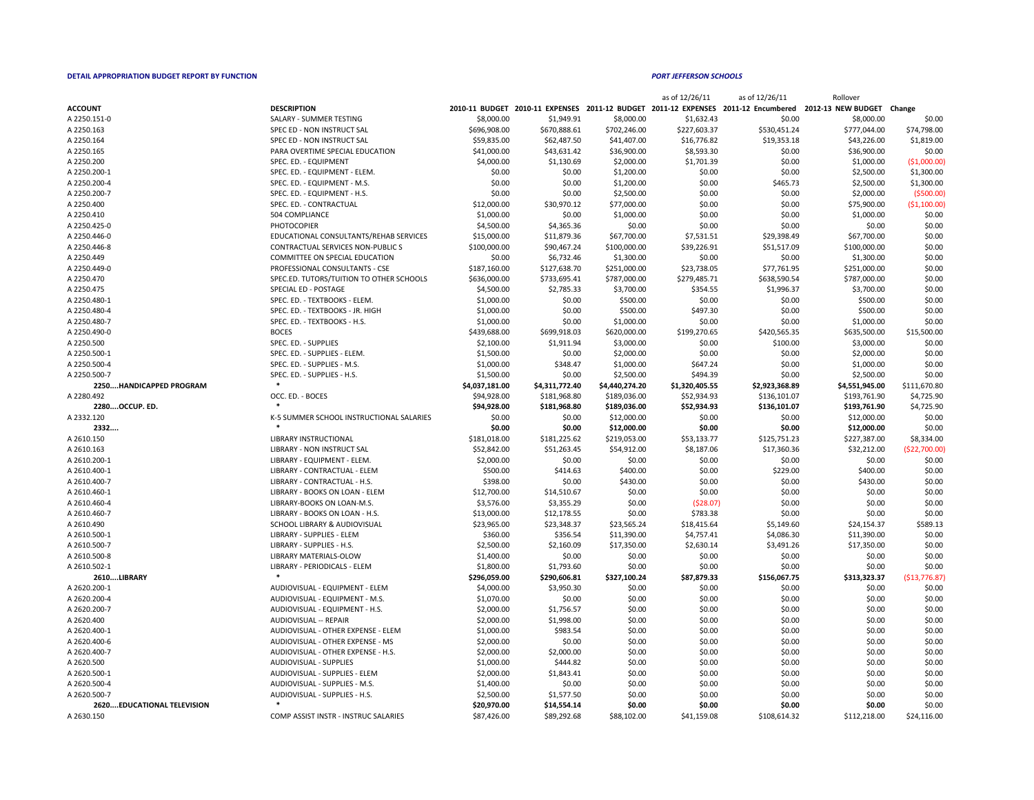|                |                                          |                       |                                 |              | as of 12/26/11          | as of 12/26/11     | Rollover           |               |
|----------------|------------------------------------------|-----------------------|---------------------------------|--------------|-------------------------|--------------------|--------------------|---------------|
| <b>ACCOUNT</b> | <b>DESCRIPTION</b>                       | <b>2010-11 BUDGET</b> | 2010-11 EXPENSES 2011-12 BUDGET |              | <b>2011-12 EXPENSES</b> | 2011-12 Encumbered | 2012-13 NEW BUDGET | Change        |
| A 2250.151-0   | SALARY - SUMMER TESTING                  | \$8,000.00            | \$1,949.91                      | \$8,000.00   | \$1,632.43              | \$0.00             | \$8,000.00         | \$0.00        |
| A 2250.163     | SPEC ED - NON INSTRUCT SAL               | \$696,908.00          | \$670,888.61                    | \$702,246.00 | \$227,603.37            | \$530,451.24       | \$777,044.00       | \$74,798.00   |
| A 2250.164     | SPEC ED - NON INSTRUCT SAL               | \$59,835.00           | \$62,487.50                     | \$41,407.00  | \$16,776.82             | \$19,353.18        | \$43,226.00        | \$1,819.00    |
| A 2250.165     | PARA OVERTIME SPECIAL EDUCATION          | \$41,000.00           | \$43,631.42                     | \$36,900.00  | \$8,593.30              | \$0.00             | \$36,900.00        | \$0.00        |
| A 2250.200     | SPEC. ED. - EQUIPMENT                    | \$4,000.00            | \$1,130.69                      | \$2,000.00   | \$1,701.39              | \$0.00             | \$1,000.00         | ( \$1,000.00] |
| A 2250.200-1   | SPEC. ED. - EQUIPMENT - ELEM.            | \$0.00                | \$0.00                          | \$1,200.00   | \$0.00                  | \$0.00             | \$2,500.00         | \$1,300.00    |
| A 2250.200-4   | SPEC. ED. - EQUIPMENT - M.S.             | \$0.00                | \$0.00                          | \$1,200.00   | \$0.00                  | \$465.73           | \$2,500.00         | \$1,300.00    |
| A 2250.200-7   | SPEC. ED. - EQUIPMENT - H.S.             | \$0.00                | \$0.00                          | \$2,500.00   | \$0.00                  | \$0.00             | \$2,000.00         | (\$500.00)    |
| A 2250.400     | SPEC. ED. - CONTRACTUAL                  | \$12,000.00           | \$30,970.12                     | \$77,000.00  | \$0.00                  | \$0.00             | \$75,900.00        | (\$1,100.00)  |
| A 2250.410     | 504 COMPLIANCE                           | \$1,000.00            | \$0.00                          | \$1,000.00   | \$0.00                  | \$0.00             | \$1,000.00         | \$0.00        |
| A 2250.425-0   | <b>PHOTOCOPIER</b>                       | \$4,500.00            | \$4,365.36                      | \$0.00       | \$0.00                  | \$0.00             | \$0.00             | \$0.00        |
| A 2250.446-0   | EDUCATIONAL CONSULTANTS/REHAB SERVICES   | \$15,000.00           | \$11,879.36                     | \$67,700.00  | \$7,531.51              | \$29,398.49        | \$67,700.00        | \$0.00        |
| A 2250.446-8   | CONTRACTUAL SERVICES NON-PUBLIC S        | \$100,000.00          | \$90,467.24                     | \$100,000.00 | \$39,226.91             | \$51,517.09        | \$100,000.00       | \$0.00        |
| A 2250.449     | COMMITTEE ON SPECIAL EDUCATION           | \$0.00                | \$6,732.46                      | \$1,300.00   | \$0.00                  | \$0.00             | \$1,300.00         | \$0.00        |
| A 2250.449-0   | PROFESSIONAL CONSULTANTS - CSE           | \$187,160.00          | \$127,638.70                    | \$251,000.00 | \$23,738.05             | \$77,761.95        | \$251,000.00       | \$0.00        |
| A 2250.470     | SPEC.ED. TUTORS/TUITION TO OTHER SCHOOLS | \$636,000.00          | \$733,695.41                    | \$787,000.00 | \$279,485.71            | \$638,590.54       | \$787,000.00       | \$0.00        |
| A 2250.475     | SPECIAL ED - POSTAGE                     | \$4,500.00            | \$2,785.33                      | \$3,700.00   | \$354.55                | \$1,996.37         | \$3,700.00         | \$0.00        |
| A 2250.480-1   | SPEC. ED. - TEXTBOOKS - ELEM.            | \$1,000.00            | \$0.00                          | \$500.00     | \$0.00                  | \$0.00             | \$500.00           | \$0.00        |
| A 2250 480-4   | SPEC ED - TEXTROOKS - IR HIGH            | \$1,000,00            | SO OO                           | \$500.00     | \$497.30                | SN NO              | \$500.00           | <b>SO 00</b>  |

|                                   |                                                              |                |                |                | as of 12/26/11 | as of 12/26/11 | Rollover                                                                                                     |               |
|-----------------------------------|--------------------------------------------------------------|----------------|----------------|----------------|----------------|----------------|--------------------------------------------------------------------------------------------------------------|---------------|
| <b>ACCOUNT</b>                    | <b>DESCRIPTION</b>                                           |                |                |                |                |                | 2010-11 BUDGET 2010-11 EXPENSES 2011-12 BUDGET 2011-12 EXPENSES 2011-12 Encumbered 2012-13 NEW BUDGET Change |               |
| A 2250.151-0                      | SALARY - SUMMER TESTING                                      | \$8,000.00     | \$1,949.91     | \$8,000.00     | \$1,632.43     | \$0.00         | \$8,000.00                                                                                                   | \$0.00        |
| A 2250.163                        | SPEC ED - NON INSTRUCT SAL                                   | \$696,908.00   | \$670,888.61   | \$702,246.00   | \$227,603.37   | \$530,451.24   | \$777,044.00                                                                                                 | \$74,798.00   |
| A 2250.164                        | SPEC ED - NON INSTRUCT SAL                                   | \$59,835.00    | \$62,487.50    | \$41,407.00    | \$16,776.82    | \$19,353.18    | \$43,226.00                                                                                                  | \$1,819.00    |
| A 2250.165                        | PARA OVERTIME SPECIAL EDUCATION                              | \$41,000.00    | \$43,631.42    | \$36,900.00    | \$8,593.30     | \$0.00         | \$36,900.00                                                                                                  | \$0.00        |
| A 2250.200                        | SPEC. ED. - EQUIPMENT                                        | \$4,000.00     | \$1,130.69     | \$2,000.00     | \$1,701.39     | \$0.00         | \$1,000.00                                                                                                   | ( \$1,000.00] |
| A 2250.200-1                      | SPEC. ED. - EQUIPMENT - ELEM.                                | \$0.00         | \$0.00         | \$1,200.00     | \$0.00         | \$0.00         | \$2,500.00                                                                                                   | \$1,300.00    |
| A 2250.200-4                      | SPEC. ED. - EQUIPMENT - M.S.                                 | \$0.00         | \$0.00         | \$1,200.00     | \$0.00         | \$465.73       | \$2,500.00                                                                                                   | \$1,300.00    |
| A 2250.200-7                      | SPEC. ED. - EQUIPMENT - H.S.                                 | \$0.00         | \$0.00         | \$2,500.00     | \$0.00         | \$0.00         | \$2,000.00                                                                                                   | (5500.00)     |
| A 2250.400                        | SPEC. ED. - CONTRACTUAL                                      | \$12,000.00    | \$30,970.12    | \$77,000.00    | \$0.00         | \$0.00         | \$75,900.00                                                                                                  | ( \$1,100.00  |
| A 2250.410                        | 504 COMPLIANCE                                               | \$1,000.00     | \$0.00         | \$1,000.00     | \$0.00         | \$0.00         | \$1,000.00                                                                                                   | \$0.00        |
| A 2250.425-0                      | PHOTOCOPIER                                                  | \$4,500.00     | \$4,365.36     | \$0.00         | \$0.00         | \$0.00         | \$0.00                                                                                                       | \$0.00        |
| A 2250.446-0                      | EDUCATIONAL CONSULTANTS/REHAB SERVICES                       | \$15,000.00    | \$11,879.36    | \$67,700.00    | \$7,531.51     | \$29,398.49    | \$67,700.00                                                                                                  | \$0.00        |
| A 2250.446-8                      | CONTRACTUAL SERVICES NON-PUBLIC S                            | \$100,000.00   | \$90,467.24    | \$100,000.00   | \$39,226.91    | \$51,517.09    | \$100,000.00                                                                                                 | \$0.00        |
| A 2250.449                        | <b>COMMITTEE ON SPECIAL EDUCATION</b>                        | \$0.00         | \$6,732.46     | \$1,300.00     | \$0.00         | \$0.00         | \$1,300.00                                                                                                   | \$0.00        |
| A 2250.449-0                      | PROFESSIONAL CONSULTANTS - CSE                               | \$187,160.00   | \$127,638.70   | \$251,000.00   | \$23,738.05    | \$77,761.95    | \$251,000.00                                                                                                 | \$0.00        |
| A 2250.470                        | SPEC.ED. TUTORS/TUITION TO OTHER SCHOOLS                     | \$636,000.00   | \$733,695.41   | \$787,000.00   | \$279,485.71   | \$638,590.54   | \$787,000.00                                                                                                 | \$0.00        |
| A 2250.475                        | <b>SPECIAL ED - POSTAGE</b>                                  | \$4,500.00     | \$2,785.33     | \$3,700.00     | \$354.55       | \$1,996.37     | \$3,700.00                                                                                                   | \$0.00        |
| A 2250.480-1                      | SPEC. ED. - TEXTBOOKS - ELEM.                                | \$1,000.00     | \$0.00         | \$500.00       | \$0.00         | \$0.00         | \$500.00                                                                                                     | \$0.00        |
| A 2250.480-4                      | SPEC. ED. - TEXTBOOKS - JR. HIGH                             | \$1,000.00     | \$0.00         | \$500.00       | \$497.30       | \$0.00         | \$500.00                                                                                                     | \$0.00        |
| A 2250.480-7                      | SPEC. ED. - TEXTBOOKS - H.S.                                 | \$1,000.00     | \$0.00         | \$1,000.00     | \$0.00         | \$0.00         | \$1,000.00                                                                                                   | \$0.00        |
| A 2250.490-0                      | <b>BOCES</b>                                                 | \$439,688.00   | \$699,918.03   | \$620,000.00   | \$199,270.65   | \$420,565.35   | \$635,500.00                                                                                                 | \$15,500.00   |
| A 2250.500                        | SPEC. ED. - SUPPLIES                                         | \$2,100.00     | \$1,911.94     | \$3,000.00     | \$0.00         | \$100.00       | \$3,000.00                                                                                                   | \$0.00        |
| A 2250.500-1                      | SPEC. ED. - SUPPLIES - ELEM.                                 | \$1,500.00     | \$0.00         | \$2,000.00     | \$0.00         | \$0.00         | \$2,000.00                                                                                                   | \$0.00        |
| A 2250.500-4                      | SPEC. ED. - SUPPLIES - M.S.                                  | \$1,000.00     | \$348.47       | \$1,000.00     | \$647.24       | \$0.00         | \$1,000.00                                                                                                   | \$0.00        |
| A 2250.500-7                      | SPEC. ED. - SUPPLIES - H.S.                                  | \$1,500.00     | \$0.00         | \$2,500.00     | \$494.39       | \$0.00         | \$2,500.00                                                                                                   | \$0.00        |
| 2250HANDICAPPED PROGRAM           |                                                              | \$4,037,181.00 | \$4,311,772.40 | \$4,440,274.20 | \$1,320,405.55 | \$2,923,368.89 | \$4,551,945.00                                                                                               | \$111,670.80  |
| A 2280.492                        | OCC. ED. - BOCES                                             | \$94,928.00    | \$181,968.80   | \$189,036.00   | \$52,934.93    | \$136,101.07   | \$193,761.90                                                                                                 | \$4,725.90    |
| 2280OCCUP. ED.                    |                                                              | \$94,928.00    | \$181,968.80   | \$189,036.00   | \$52,934.93    | \$136,101.07   | \$193,761.90                                                                                                 | \$4,725.90    |
| A 2332.120                        | K-5 SUMMER SCHOOL INSTRUCTIONAL SALARIES                     | \$0.00         | \$0.00         | \$12,000.00    | \$0.00         | \$0.00         | \$12,000.00                                                                                                  | \$0.00        |
| 2332                              |                                                              | \$0.00         | \$0.00         | \$12,000.00    | \$0.00         | \$0.00         | \$12,000.00                                                                                                  | \$0.00        |
| A 2610.150                        | LIBRARY INSTRUCTIONAL                                        | \$181,018.00   | \$181,225.62   | \$219,053.00   | \$53,133.77    | \$125,751.23   | \$227,387.00                                                                                                 | \$8,334.00    |
| A 2610.163                        | <b>LIBRARY - NON INSTRUCT SAL</b>                            | \$52,842.00    | \$51,263.45    | \$54,912.00    | \$8,187.06     | \$17,360.36    | \$32,212.00                                                                                                  | (\$22,700.00] |
|                                   |                                                              |                |                |                |                |                | \$0.00                                                                                                       | \$0.00        |
| A 2610.200-1                      | LIBRARY - EQUIPMENT - ELEM.                                  | \$2,000.00     | \$0.00         | \$0.00         | \$0.00         | \$0.00         |                                                                                                              |               |
| A 2610.400-1                      | LIBRARY - CONTRACTUAL - ELEM<br>LIBRARY - CONTRACTUAL - H.S. | \$500.00       | \$414.63       | \$400.00       | \$0.00         | \$229.00       | \$400.00                                                                                                     | \$0.00        |
| A 2610.400-7                      |                                                              | \$398.00       | \$0.00         | \$430.00       | \$0.00         | \$0.00         | \$430.00                                                                                                     | \$0.00        |
| A 2610.460-1                      | LIBRARY - BOOKS ON LOAN - ELEM                               | \$12,700.00    | \$14,510.67    | \$0.00         | \$0.00         | \$0.00         | \$0.00                                                                                                       | \$0.00        |
| A 2610.460-4                      | LIBRARY-BOOKS ON LOAN-M.S.                                   | \$3,576.00     | \$3,355.29     | \$0.00         | (528.07)       | \$0.00         | \$0.00                                                                                                       | \$0.00        |
| A 2610.460-7                      | LIBRARY - BOOKS ON LOAN - H.S.                               | \$13,000.00    | \$12,178.55    | \$0.00         | \$783.38       | \$0.00         | \$0.00                                                                                                       | \$0.00        |
| A 2610.490                        | <b>SCHOOL LIBRARY &amp; AUDIOVISUAL</b>                      | \$23,965.00    | \$23,348.37    | \$23,565.24    | \$18,415.64    | \$5,149.60     | \$24,154.37                                                                                                  | \$589.13      |
| A 2610.500-1                      | LIBRARY - SUPPLIES - ELEM                                    | \$360.00       | \$356.54       | \$11,390.00    | \$4,757.41     | \$4,086.30     | \$11,390.00                                                                                                  | \$0.00        |
| A 2610.500-7                      | LIBRARY - SUPPLIES - H.S.                                    | \$2,500.00     | \$2,160.09     | \$17,350.00    | \$2,630.14     | \$3,491.26     | \$17,350.00                                                                                                  | \$0.00        |
| A 2610.500-8                      | LIBRARY MATERIALS-OLOW                                       | \$1,400.00     | \$0.00         | \$0.00         | \$0.00         | \$0.00         | \$0.00                                                                                                       | \$0.00        |
| A 2610.502-1                      | LIBRARY - PERIODICALS - ELEM                                 | \$1,800.00     | \$1,793.60     | \$0.00         | \$0.00         | \$0.00         | \$0.00                                                                                                       | \$0.00        |
| 2610LIBRARY                       |                                                              | \$296,059.00   | \$290,606.81   | \$327,100.24   | \$87,879.33    | \$156,067.75   | \$313,323.37                                                                                                 | ( \$13,776.87 |
| A 2620.200-1                      | AUDIOVISUAL - EQUIPMENT - ELEM                               | \$4,000.00     | \$3,950.30     | \$0.00         | \$0.00         | \$0.00         | \$0.00                                                                                                       | \$0.00        |
| A 2620.200-4                      | AUDIOVISUAL - EQUIPMENT - M.S.                               | \$1,070.00     | \$0.00         | \$0.00         | \$0.00         | \$0.00         | \$0.00                                                                                                       | \$0.00        |
| A 2620.200-7                      | AUDIOVISUAL - EQUIPMENT - H.S.                               | \$2,000.00     | \$1,756.57     | \$0.00         | \$0.00         | \$0.00         | \$0.00                                                                                                       | \$0.00        |
| A 2620.400                        | <b>AUDIOVISUAL -- REPAIR</b>                                 | \$2,000.00     | \$1,998.00     | \$0.00         | \$0.00         | \$0.00         | \$0.00                                                                                                       | \$0.00        |
| A 2620.400-1                      | AUDIOVISUAL - OTHER EXPENSE - ELEM                           | \$1,000.00     | \$983.54       | \$0.00         | \$0.00         | \$0.00         | \$0.00                                                                                                       | \$0.00        |
| A 2620.400-6                      | AUDIOVISUAL - OTHER EXPENSE - MS                             | \$2,000.00     | \$0.00         | \$0.00         | \$0.00         | \$0.00         | \$0.00                                                                                                       | \$0.00        |
| A 2620.400-7                      | AUDIOVISUAL - OTHER EXPENSE - H.S.                           | \$2,000.00     | \$2,000.00     | \$0.00         | \$0.00         | \$0.00         | \$0.00                                                                                                       | \$0.00        |
| A 2620.500                        | <b>AUDIOVISUAL - SUPPLIES</b>                                | \$1,000.00     | \$444.82       | \$0.00         | \$0.00         | \$0.00         | \$0.00                                                                                                       | \$0.00        |
| A 2620.500-1                      | AUDIOVISUAL - SUPPLIES - ELEM                                | \$2,000.00     | \$1,843.41     | \$0.00         | \$0.00         | \$0.00         | \$0.00                                                                                                       | \$0.00        |
| A 2620.500-4                      | AUDIOVISUAL - SUPPLIES - M.S.                                | \$1,400.00     | \$0.00         | \$0.00         | \$0.00         | \$0.00         | \$0.00                                                                                                       | \$0.00        |
| A 2620.500-7                      | AUDIOVISUAL - SUPPLIES - H.S.                                | \$2,500.00     | \$1,577.50     | \$0.00         | \$0.00         | \$0.00         | \$0.00                                                                                                       | \$0.00        |
| <b>2620EDUCATIONAL TELEVISION</b> |                                                              | \$20,970.00    | \$14,554.14    | \$0.00         | \$0.00         | \$0.00         | \$0.00                                                                                                       | \$0.00        |
| A 2630.150                        | COMP ASSIST INSTR - INSTRUC SALARIES                         | \$87,426.00    | \$89,292.68    | \$88,102.00    | \$41,159.08    | \$108,614.32   | \$112,218.00                                                                                                 | \$24,116.00   |

| A 2250.200-4                      | SPEC. ED. - EQUIPMENT - M.S.               | \$0.00         | \$0.00         | \$1,200.00     | \$0.00             | \$465.73       | \$2,500.00         | \$1,300.00     |
|-----------------------------------|--------------------------------------------|----------------|----------------|----------------|--------------------|----------------|--------------------|----------------|
| A 2250.200-7                      | SPEC. ED. - EQUIPMENT - H.S.               | \$0.00         | \$0.00         | \$2,500.00     | \$0.00             | \$0.00         | \$2,000.00         | ( \$500.00]    |
| A 2250.400                        | SPEC. ED. - CONTRACTUAL                    | \$12,000.00    | \$30,970.12    | \$77,000.00    | \$0.00             | \$0.00         | \$75,900.00        | ( \$1,100.00]  |
| A 2250.410                        | 504 COMPLIANCE                             | \$1,000.00     | \$0.00         | \$1,000.00     | \$0.00             | \$0.00         | \$1,000.00         | \$0.00         |
| A 2250.425-0                      | <b>PHOTOCOPIER</b>                         | \$4,500.00     | \$4,365.36     | \$0.00         | \$0.00             | \$0.00         | \$0.00             | \$0.00         |
| A 2250.446-0                      | EDUCATIONAL CONSULTANTS/REHAB SERVICES     | \$15,000.00    | \$11,879.36    | \$67,700.00    | \$7,531.51         | \$29,398.49    | \$67,700.00        | \$0.00         |
| A 2250.446-8                      | <b>CONTRACTUAL SERVICES NON-PUBLIC S</b>   | \$100,000.00   | \$90,467.24    | \$100,000.00   | \$39,226.91        | \$51,517.09    | \$100,000.00       | \$0.00         |
| A 2250.449                        | COMMITTEE ON SPECIAL EDUCATION             | \$0.00         | \$6,732.46     | \$1,300.00     | \$0.00             | \$0.00         | \$1,300.00         | \$0.00         |
| A 2250.449-0                      | PROFESSIONAL CONSULTANTS - CSE             | \$187,160.00   | \$127,638.70   | \$251,000.00   | \$23,738.05        | \$77,761.95    | \$251,000.00       | \$0.00         |
| A 2250.470                        | SPEC.ED. TUTORS/TUITION TO OTHER SCHOOLS   | \$636,000.00   | \$733,695.41   | \$787,000.00   | \$279,485.71       | \$638,590.54   | \$787,000.00       | \$0.00         |
| A 2250.475                        | SPECIAL ED - POSTAGE                       | \$4,500.00     | \$2,785.33     | \$3,700.00     | \$354.55           | \$1,996.37     | \$3,700.00         | \$0.00         |
| A 2250.480-1                      | SPEC. ED. - TEXTBOOKS - ELEM.              | \$1,000.00     | \$0.00         | \$500.00       | \$0.00             | \$0.00         | \$500.00           | \$0.00         |
| A 2250.480-4                      | SPEC. ED. - TEXTBOOKS - JR. HIGH           | \$1,000.00     | \$0.00         | \$500.00       | \$497.30           | \$0.00         | \$500.00           | \$0.00         |
| A 2250.480-7                      | SPEC. ED. - TEXTBOOKS - H.S.               | \$1,000.00     | \$0.00         | \$1,000.00     | \$0.00             | \$0.00         | \$1,000.00         | \$0.00         |
| A 2250.490-0                      | <b>BOCES</b>                               | \$439,688.00   | \$699,918.03   | \$620,000.00   | \$199,270.65       | \$420,565.35   | \$635,500.00       | \$15,500.00    |
| A 2250.500                        | SPEC. ED. - SUPPLIES                       | \$2,100.00     | \$1,911.94     | \$3,000.00     | \$0.00             | \$100.00       | \$3,000.00         | \$0.00         |
| A 2250.500-1                      | SPEC. ED. - SUPPLIES - ELEM.               | \$1,500.00     | \$0.00         | \$2,000.00     | \$0.00             | \$0.00         | \$2,000.00         | \$0.00         |
| A 2250.500-4                      | SPEC. ED. - SUPPLIES - M.S.                | \$1,000.00     | \$348.47       | \$1,000.00     | \$647.24           | \$0.00         | \$1,000.00         | \$0.00         |
| A 2250.500-7                      | SPEC. ED. - SUPPLIES - H.S.                | \$1,500.00     | \$0.00         | \$2,500.00     | \$494.39           | \$0.00         | \$2,500.00         | \$0.00         |
| 2250HANDICAPPED PROGRAM           |                                            | \$4,037,181.00 | \$4,311,772.40 | \$4,440,274.20 | \$1,320,405.55     | \$2,923,368.89 | \$4,551,945.00     | \$111,670.80   |
| A 2280.492                        | OCC. ED. - BOCES                           | \$94,928.00    | \$181,968.80   | \$189,036.00   | \$52,934.93        | \$136,101.07   | \$193,761.90       | \$4,725.90     |
| 2280OCCUP. ED.                    |                                            | \$94,928.00    | \$181,968.80   | \$189,036.00   | \$52,934.93        | \$136,101.07   | \$193,761.90       | \$4,725.90     |
| A 2332.120                        | K-5 SUMMER SCHOOL INSTRUCTIONAL SALARIES   | \$0.00         | \$0.00         | \$12,000.00    | \$0.00             | \$0.00         | \$12,000.00        | \$0.00         |
| 2332                              |                                            | \$0.00         | \$0.00         | \$12,000.00    | \$0.00             | \$0.00         | \$12,000.00        | \$0.00         |
| A 2610.150                        | LIBRARY INSTRUCTIONAL                      | \$181,018.00   | \$181,225.62   | \$219,053.00   | \$53,133.77        | \$125,751.23   | \$227,387.00       | \$8,334.00     |
| A 2610.163                        | <b>LIBRARY - NON INSTRUCT SAL</b>          | \$52,842.00    | \$51,263.45    | \$54,912.00    | \$8,187.06         | \$17,360.36    | \$32,212.00        | ( \$22,700.00] |
| A 2610.200-1                      | LIBRARY - EQUIPMENT - ELEM.                | \$2,000.00     | \$0.00         | \$0.00         | \$0.00             | \$0.00         | \$0.00             | \$0.00         |
| A 2610.400-1                      | LIBRARY - CONTRACTUAL - ELEM               | \$500.00       | \$414.63       | \$400.00       | \$0.00             | \$229.00       | \$400.00           | \$0.00         |
| A 2610.400-7                      | LIBRARY - CONTRACTUAL - H.S.               | \$398.00       | \$0.00         | \$430.00       | \$0.00             | \$0.00         | \$430.00           | \$0.00         |
| A 2610.460-1                      | LIBRARY - BOOKS ON LOAN - ELEM             | \$12,700.00    | \$14,510.67    | \$0.00         | \$0.00             | \$0.00         | \$0.00             | \$0.00         |
| A 2610.460-4                      | LIBRARY-BOOKS ON LOAN-M.S.                 | \$3,576.00     | \$3,355.29     | \$0.00         | (528.07)           | \$0.00         | \$0.00             | \$0.00         |
| A 2610.460-7                      | LIBRARY - BOOKS ON LOAN - H.S.             | \$13,000.00    | \$12,178.55    | \$0.00         | \$783.38           | \$0.00         | \$0.00             | \$0.00         |
| A 2610.490                        | SCHOOL LIBRARY & AUDIOVISUAL               | \$23,965.00    | \$23,348.37    | \$23,565.24    | \$18,415.64        | \$5,149.60     | \$24,154.37        | \$589.13       |
| A 2610.500-1                      | LIBRARY - SUPPLIES - ELEM                  | \$360.00       | \$356.54       | \$11,390.00    | \$4,757.41         | \$4,086.30     | \$11,390.00        | \$0.00         |
| A 2610.500-7                      | LIBRARY - SUPPLIES - H.S.                  | \$2,500.00     | \$2,160.09     | \$17,350.00    | \$2,630.14         | \$3,491.26     | \$17,350.00        | \$0.00         |
| A 2610.500-8                      | LIBRARY MATERIALS-OLOW                     | \$1,400.00     | \$0.00         | \$0.00         | \$0.00             | \$0.00         | \$0.00             | \$0.00         |
| A 2610.502-1                      | LIBRARY - PERIODICALS - ELEM               |                |                |                |                    |                |                    | \$0.00         |
|                                   |                                            | \$1,800.00     | \$1,793.60     | \$0.00         | \$0.00             | \$0.00         | \$0.00             |                |
| 2610LIBRARY                       |                                            | \$296,059.00   | \$290,606.81   | \$327,100.24   | \$87,879.33        | \$156,067.75   | \$313,323.37       | (\$13,776.87)  |
| A 2620.200-1                      | AUDIOVISUAL - EQUIPMENT - ELEM             | \$4,000.00     | \$3,950.30     | \$0.00         | \$0.00             | \$0.00         | \$0.00             | \$0.00         |
| A 2620.200-4                      | AUDIOVISUAL - EQUIPMENT - M.S.             | \$1,070.00     | \$0.00         | \$0.00         | \$0.00             | \$0.00         | \$0.00             | \$0.00         |
| A 2620.200-7                      | AUDIOVISUAL - EQUIPMENT - H.S.             | \$2,000.00     | \$1,756.57     | \$0.00         | \$0.00             | \$0.00         | \$0.00             | \$0.00         |
| A 2620.400                        | <b>AUDIOVISUAL -- REPAIR</b>               | \$2,000.00     | \$1,998.00     | \$0.00         | \$0.00             | \$0.00         | \$0.00             | \$0.00         |
| A 2620.400-1                      | AUDIOVISUAL - OTHER EXPENSE - ELEM         | \$1,000.00     | \$983.54       | \$0.00         | \$0.00             | \$0.00         | \$0.00             | \$0.00         |
| A 2620.400-6                      | AUDIOVISUAL - OTHER EXPENSE - MS           | \$2,000.00     | \$0.00         | \$0.00         | \$0.00             | \$0.00         | \$0.00             | \$0.00         |
| A 2620.400-7                      | AUDIOVISUAL - OTHER EXPENSE - H.S.         | \$2,000.00     | \$2,000.00     | \$0.00         | \$0.00             | \$0.00         | \$0.00             | \$0.00         |
| A 2620.500                        | AUDIOVISUAL - SUPPLIES                     | \$1,000.00     | \$444.82       | \$0.00         | \$0.00             | \$0.00         | \$0.00             | \$0.00         |
| A 2620.500-1                      | AUDIOVISUAL - SUPPLIES - ELEM              | \$2,000.00     | \$1,843.41     | \$0.00         | \$0.00             | \$0.00         | \$0.00             | \$0.00         |
| A 2620.500-4                      | AUDIOVISUAL - SUPPLIES - M.S.              | \$1,400.00     | \$0.00         | \$0.00         | \$0.00             | \$0.00         | \$0.00             | \$0.00         |
| A 2620.500-7                      | AUDIOVISUAL - SUPPLIES - H.S.              | \$2,500.00     | \$1,577.50     | \$0.00         | \$0.00             | \$0.00         | \$0.00             | \$0.00         |
| <b>2620EDUCATIONAL TELEVISION</b> |                                            | \$20,970.00    | \$14,554.14    | \$0.00         | \$0.00             | \$0.00         | \$0.00             | \$0.00         |
| $A$ 2620 150                      | $COMAD$ ACCICT INICTD . INICTDLIC CALADIEC | 58712600       | 680, 202, 68   | 68810200       | $C$ $11$ $150$ $0$ | 610861422      | <b>C112 218 00</b> | 62111600       |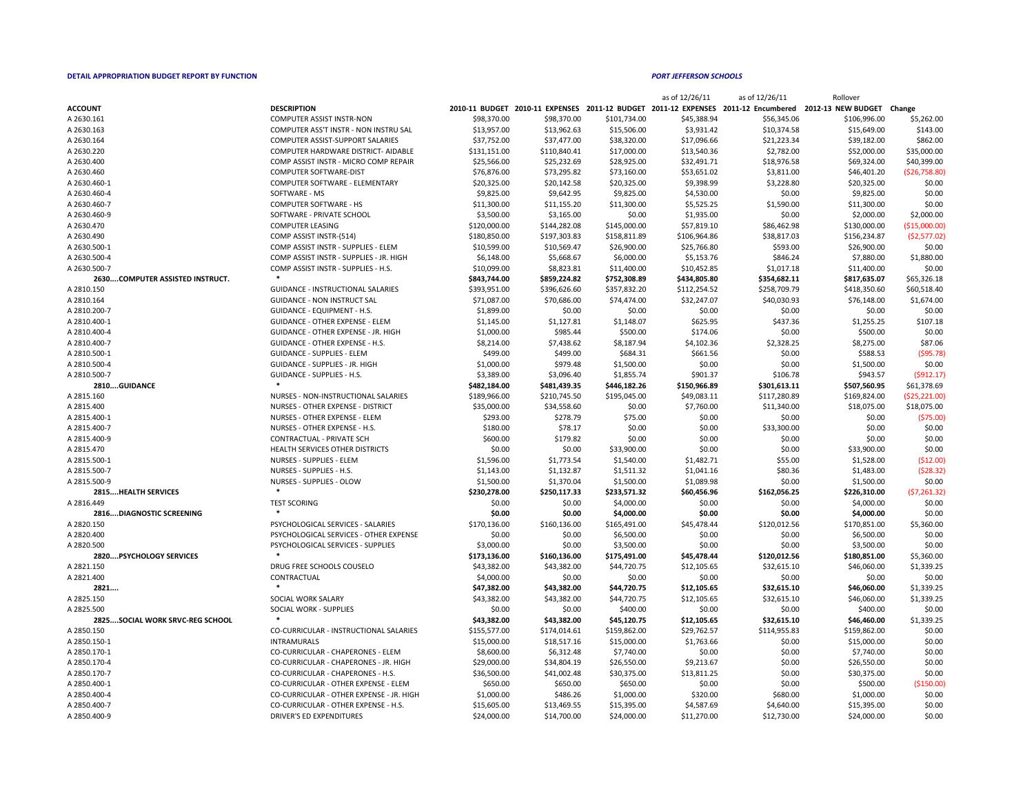|                                        |                                                                |              |              |              | as of 12/26/11 | as of 12/26/11 | Rollover                                                                                                     |                 |
|----------------------------------------|----------------------------------------------------------------|--------------|--------------|--------------|----------------|----------------|--------------------------------------------------------------------------------------------------------------|-----------------|
| <b>ACCOUNT</b>                         | <b>DESCRIPTION</b>                                             |              |              |              |                |                | 2010-11 BUDGET 2010-11 EXPENSES 2011-12 BUDGET 2011-12 EXPENSES 2011-12 Encumbered 2012-13 NEW BUDGET Change |                 |
| A 2630.161                             | <b>COMPUTER ASSIST INSTR-NON</b>                               | \$98,370.00  | \$98,370.00  | \$101,734.00 | \$45,388.94    | \$56,345.06    | \$106,996.00                                                                                                 | \$5,262.00      |
| A 2630.163                             | COMPUTER ASS'T INSTR - NON INSTRU SAL                          | \$13,957.00  | \$13,962.63  | \$15,506.00  | \$3,931.42     | \$10,374.58    | \$15,649.00                                                                                                  | \$143.00        |
| A 2630.164                             | <b>COMPUTER ASSIST-SUPPORT SALARIES</b>                        | \$37,752.00  | \$37,477.00  | \$38,320.00  | \$17,096.66    | \$21,223.34    | \$39,182.00                                                                                                  | \$862.00        |
| A 2630.220                             | COMPUTER HARDWARE DISTRICT- AIDABLE                            | \$131,151.00 | \$110,840.41 | \$17,000.00  | \$13,540.36    | \$2,782.00     | \$52,000.00                                                                                                  | \$35,000.00     |
| A 2630.400                             | COMP ASSIST INSTR - MICRO COMP REPAIR                          | \$25,566.00  | \$25,232.69  | \$28,925.00  | \$32,491.71    | \$18,976.58    | \$69,324.00                                                                                                  | \$40,399.00     |
| A 2630.460                             | <b>COMPUTER SOFTWARE-DIST</b>                                  | \$76,876.00  | \$73,295.82  | \$73,160.00  | \$53,651.02    | \$3,811.00     | \$46,401.20                                                                                                  | ( \$26,758.80]  |
| A 2630.460-1                           | <b>COMPUTER SOFTWARE - ELEMENTARY</b>                          | \$20,325.00  | \$20,142.58  | \$20,325.00  | \$9,398.99     | \$3,228.80     | \$20,325.00                                                                                                  | \$0.00          |
| A 2630.460-4                           | SOFTWARE - MS                                                  | \$9,825.00   | \$9,642.95   | \$9,825.00   | \$4,530.00     | \$0.00         | \$9,825.00                                                                                                   | \$0.00          |
| A 2630.460-7                           | <b>COMPUTER SOFTWARE - HS</b>                                  | \$11,300.00  | \$11,155.20  | \$11,300.00  | \$5,525.25     | \$1,590.00     | \$11,300.00                                                                                                  | \$0.00          |
| A 2630.460-9                           | SOFTWARE - PRIVATE SCHOOL                                      | \$3,500.00   | \$3,165.00   | \$0.00       | \$1,935.00     | \$0.00         | \$2,000.00                                                                                                   | \$2,000.00      |
| A 2630.470                             | <b>COMPUTER LEASING</b>                                        | \$120,000.00 | \$144,282.08 | \$145,000.00 | \$57,819.10    | \$86,462.98    | \$130,000.00                                                                                                 | (\$15,000.00]   |
| A 2630.490                             | COMP ASSIST INSTR-(514)                                        | \$180,850.00 | \$197,303.83 | \$158,811.89 | \$106,964.86   | \$38,817.03    | \$156,234.87                                                                                                 | (52, 577.02)    |
| A 2630.500-1                           | COMP ASSIST INSTR - SUPPLIES - ELEM                            | \$10,599.00  | \$10,569.47  | \$26,900.00  | \$25,766.80    | \$593.00       | \$26,900.00                                                                                                  | \$0.00          |
| A 2630.500-4                           | COMP ASSIST INSTR - SUPPLIES - JR. HIGH                        | \$6,148.00   | \$5,668.67   | \$6,000.00   | \$5,153.76     | \$846.24       | \$7,880.00                                                                                                   | \$1,880.00      |
| A 2630.500-7                           | COMP ASSIST INSTR - SUPPLIES - H.S.                            | \$10,099.00  | \$8,823.81   | \$11,400.00  | \$10,452.85    | \$1,017.18     | \$11,400.00                                                                                                  | \$0.00          |
| 2630COMPUTER ASSISTED INSTRUCT.        |                                                                | \$843,744.00 | \$859,224.82 | \$752,308.89 | \$434,805.80   | \$354,682.11   | \$817,635.07                                                                                                 | \$65,326.18     |
| A 2810.150                             | <b>GUIDANCE - INSTRUCTIONAL SALARIES</b>                       | \$393,951.00 | \$396,626.60 | \$357,832.20 | \$112,254.52   | \$258,709.79   | \$418,350.60                                                                                                 | \$60,518.40     |
| A 2810.164                             | <b>GUIDANCE - NON INSTRUCT SAL</b>                             | \$71,087.00  | \$70,686.00  | \$74,474.00  | \$32,247.07    | \$40,030.93    | \$76,148.00                                                                                                  | \$1,674.00      |
| A 2810.200-7                           | <b>GUIDANCE - EQUIPMENT - H.S.</b>                             | \$1,899.00   | \$0.00       | \$0.00       | \$0.00         | \$0.00         | \$0.00                                                                                                       | \$0.00          |
| A 2810.400-1                           | <b>GUIDANCE - OTHER EXPENSE - ELEM</b>                         | \$1,145.00   | \$1,127.81   | \$1,148.07   | \$625.95       | \$437.36       | \$1,255.25                                                                                                   | \$107.18        |
| A 2810.400-4                           | GUIDANCE - OTHER EXPENSE - JR. HIGH                            | \$1,000.00   | \$985.44     | \$500.00     | \$174.06       | \$0.00         | \$500.00                                                                                                     | \$0.00          |
| A 2810.400-7                           | <b>GUIDANCE - OTHER EXPENSE - H.S.</b>                         | \$8,214.00   | \$7,438.62   | \$8,187.94   | \$4,102.36     | \$2,328.25     | \$8,275.00                                                                                                   | \$87.06         |
| A 2810.500-1                           | <b>GUIDANCE - SUPPLIES - ELEM</b>                              | \$499.00     | \$499.00     | \$684.31     | \$661.56       | \$0.00         | \$588.53                                                                                                     | $($ \$95.78)    |
| A 2810.500-4                           | <b>GUIDANCE - SUPPLIES - JR. HIGH</b>                          | \$1,000.00   | \$979.48     | \$1,500.00   | \$0.00         | \$0.00         | \$1,500.00                                                                                                   | \$0.00          |
| A 2810.500-7                           | <b>GUIDANCE - SUPPLIES - H.S.</b>                              | \$3,389.00   | \$3,096.40   | \$1,855.74   | \$901.37       | \$106.78       | \$943.57                                                                                                     | (5912.17)       |
| 2810GUIDANCE                           |                                                                | \$482,184.00 | \$481,439.35 | \$446,182.26 | \$150,966.89   |                | \$507,560.95                                                                                                 | \$61,378.69     |
|                                        | NURSES - NON-INSTRUCTIONAL SALARIES                            |              |              |              |                | \$301,613.11   |                                                                                                              |                 |
| A 2815.160                             | <b>NURSES - OTHER EXPENSE - DISTRICT</b>                       | \$189,966.00 | \$210,745.50 | \$195,045.00 | \$49,083.11    | \$117,280.89   | \$169,824.00                                                                                                 | ( \$25, 221.00] |
| A 2815.400                             |                                                                | \$35,000.00  | \$34,558.60  | \$0.00       | \$7,760.00     | \$11,340.00    | \$18,075.00                                                                                                  | \$18,075.00     |
| A 2815.400-1                           | NURSES - OTHER EXPENSE - ELEM<br>NURSES - OTHER EXPENSE - H.S. | \$293.00     | \$278.79     | \$75.00      | \$0.00         | \$0.00         | \$0.00                                                                                                       | ( \$75.00]      |
| A 2815.400-7                           |                                                                | \$180.00     | \$78.17      | \$0.00       | \$0.00         | \$33,300.00    | \$0.00                                                                                                       | \$0.00          |
| A 2815.400-9                           | <b>CONTRACTUAL - PRIVATE SCH</b>                               | \$600.00     | \$179.82     | \$0.00       | \$0.00         | \$0.00         | \$0.00                                                                                                       | \$0.00          |
| A 2815.470                             | HEALTH SERVICES OTHER DISTRICTS                                | \$0.00       | \$0.00       | \$33,900.00  | \$0.00         | \$0.00         | \$33,900.00                                                                                                  | \$0.00          |
| A 2815.500-1                           | <b>NURSES - SUPPLIES - ELEM</b>                                | \$1,596.00   | \$1,773.54   | \$1,540.00   | \$1,482.71     | \$55.00        | \$1,528.00                                                                                                   | ( \$12.00)      |
| A 2815.500-7                           | NURSES - SUPPLIES - H.S.                                       | \$1,143.00   | \$1,132.87   | \$1,511.32   | \$1,041.16     | \$80.36        | \$1,483.00                                                                                                   | (528.32)        |
| A 2815.500-9                           | NURSES - SUPPLIES - OLOW                                       | \$1,500.00   | \$1,370.04   | \$1,500.00   | \$1,089.98     | \$0.00         | \$1,500.00                                                                                                   | \$0.00          |
| <b>2815HEALTH SERVICES</b>             |                                                                | \$230,278.00 | \$250,117.33 | \$233,571.32 | \$60,456.96    | \$162,056.25   | \$226,310.00                                                                                                 | (57, 261.32)    |
| A 2816.449                             | <b>TEST SCORING</b><br>$\ast$                                  | \$0.00       | \$0.00       | \$4,000.00   | \$0.00         | \$0.00         | \$4,000.00                                                                                                   | \$0.00          |
| <b>2816DIAGNOSTIC SCREENING</b>        |                                                                | \$0.00       | \$0.00       | \$4,000.00   | \$0.00         | \$0.00         | \$4,000.00                                                                                                   | \$0.00          |
| A 2820.150                             | PSYCHOLOGICAL SERVICES - SALARIES                              | \$170,136.00 | \$160,136.00 | \$165,491.00 | \$45,478.44    | \$120,012.56   | \$170,851.00                                                                                                 | \$5,360.00      |
| A 2820.400                             | PSYCHOLOGICAL SERVICES - OTHER EXPENSE                         | \$0.00       | \$0.00       | \$6,500.00   | \$0.00         | \$0.00         | \$6,500.00                                                                                                   | \$0.00          |
| A 2820.500                             | PSYCHOLOGICAL SERVICES - SUPPLIES                              | \$3,000.00   | \$0.00       | \$3,500.00   | \$0.00         | \$0.00         | \$3,500.00                                                                                                   | \$0.00          |
| <b>2820PSYCHOLOGY SERVICES</b>         |                                                                | \$173,136.00 | \$160,136.00 | \$175,491.00 | \$45,478.44    | \$120,012.56   | \$180,851.00                                                                                                 | \$5,360.00      |
| A 2821.150                             | DRUG FREE SCHOOLS COUSELO                                      | \$43,382.00  | \$43,382.00  | \$44,720.75  | \$12,105.65    | \$32,615.10    | \$46,060.00                                                                                                  | \$1,339.25      |
| A 2821.400                             | CONTRACTUAL                                                    | \$4,000.00   | \$0.00       | \$0.00       | \$0.00         | \$0.00         | \$0.00                                                                                                       | \$0.00          |
| 2821                                   |                                                                | \$47,382.00  | \$43,382.00  | \$44,720.75  | \$12,105.65    | \$32,615.10    | \$46,060.00                                                                                                  | \$1,339.25      |
| A 2825.150                             | SOCIAL WORK SALARY                                             | \$43,382.00  | \$43,382.00  | \$44,720.75  | \$12,105.65    | \$32,615.10    | \$46,060.00                                                                                                  | \$1,339.25      |
| A 2825.500                             | SOCIAL WORK - SUPPLIES                                         | \$0.00       | \$0.00       | \$400.00     | \$0.00         | \$0.00         | \$400.00                                                                                                     | \$0.00          |
| <b>2825SOCIAL WORK SRVC-REG SCHOOL</b> |                                                                | \$43,382.00  | \$43,382.00  | \$45,120.75  | \$12,105.65    | \$32,615.10    | \$46,460.00                                                                                                  | \$1,339.25      |
| A 2850.150                             | CO-CURRICULAR - INSTRUCTIONAL SALARIES                         | \$155,577.00 | \$174,014.61 | \$159,862.00 | \$29,762.57    | \$114,955.83   | \$159,862.00                                                                                                 | \$0.00          |
| A 2850.150-1                           | INTRAMURALS                                                    | \$15,000.00  | \$18,517.16  | \$15,000.00  | \$1,763.66     | \$0.00         | \$15,000.00                                                                                                  | \$0.00          |
| A 2850.170-1                           | CO-CURRICULAR - CHAPERONES - ELEM                              | \$8,600.00   | \$6,312.48   | \$7,740.00   | \$0.00         | \$0.00         | \$7,740.00                                                                                                   | \$0.00          |
| A 2850.170-4                           | CO-CURRICULAR - CHAPERONES - JR. HIGH                          | \$29,000.00  | \$34,804.19  | \$26,550.00  | \$9,213.67     | \$0.00         | \$26,550.00                                                                                                  | \$0.00          |
| A 2850.170-7                           | CO-CURRICULAR - CHAPERONES - H.S.                              | \$36,500.00  | \$41,002.48  | \$30,375.00  | \$13,811.25    | \$0.00         | \$30,375.00                                                                                                  | \$0.00          |
| A 2850.400-1                           | CO-CURRICULAR - OTHER EXPENSE - ELEM                           | \$650.00     | \$650.00     | \$650.00     | \$0.00         | \$0.00         | \$500.00                                                                                                     | ( \$150.00]     |
| A 2850.400-4                           | CO-CURRICULAR - OTHER EXPENSE - JR. HIGH                       | \$1,000.00   | \$486.26     | \$1,000.00   | \$320.00       | \$680.00       | \$1,000.00                                                                                                   | \$0.00          |
| A 2850.400-7                           | CO-CURRICULAR - OTHER EXPENSE - H.S.                           | \$15,605.00  | \$13,469.55  | \$15,395.00  | \$4,587.69     | \$4,640.00     | \$15,395.00                                                                                                  | \$0.00          |
| A 2850.400-9                           | <b>DRIVER'S ED EXPENDITURES</b>                                | \$24,000.00  | \$14,700.00  | \$24,000.00  | \$11,270.00    | \$12,730.00    | \$24,000.00                                                                                                  | \$0.00          |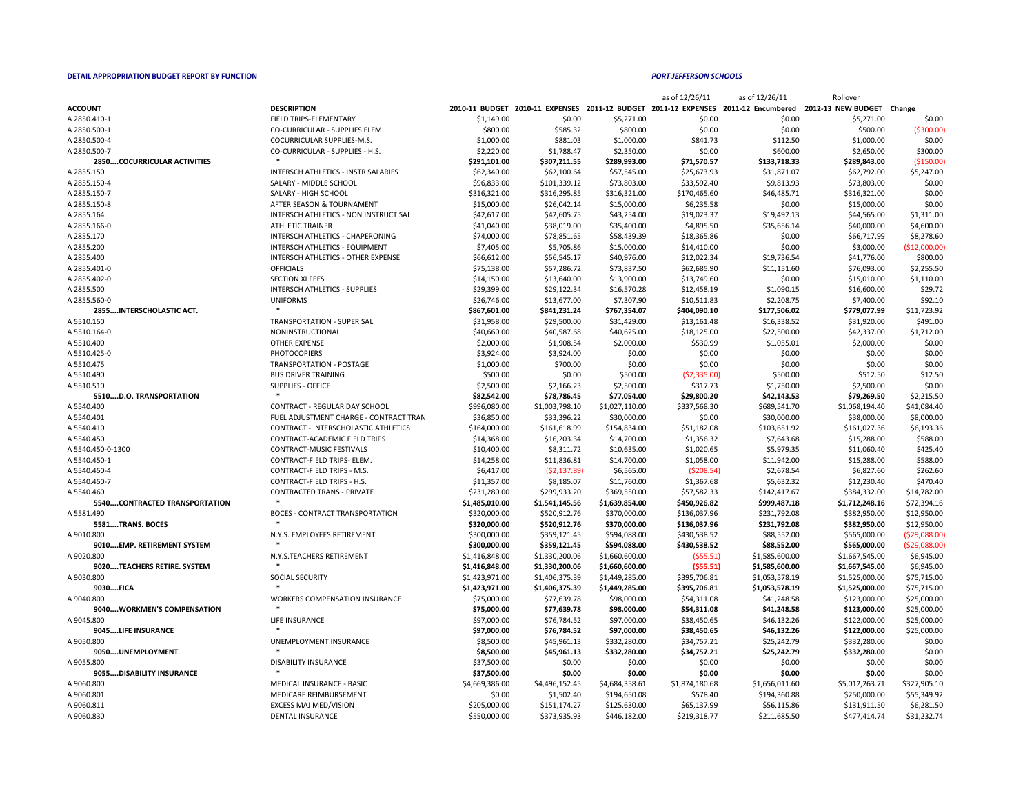| 0-11 BUDGET    | <b>2010-11 EXPENSES</b>     | 2011-12 BUDGET              |
|----------------|-----------------------------|-----------------------------|
| \$1,149.00     | \$0.00                      | \$5,271.00                  |
| \$800.00       | \$585.32                    | \$800.00                    |
| \$1,000.00     | \$881.03                    | \$1,000.00                  |
| \$2,220.00     | \$1,788.47                  | \$2,350.00                  |
| \$291,101.00   | \$307,211.55                | \$289,993.00                |
| \$62,340.00    | \$62,100.64                 | \$57,545.00                 |
| \$96,833.00    | \$101,339.12                | \$73,803.00                 |
| \$316,321.00   | \$316,295.85                | \$316,321.00                |
| \$15,000.00    | \$26,042.14                 | \$15,000.00                 |
| \$42,617.00    | \$42,605.75                 | \$43,254.00                 |
| \$41,040.00    | \$38,019.00                 | \$35,400.00                 |
| \$74,000.00    | \$78,851.65                 | \$58,439.39                 |
| \$7,405.00     | \$5,705.86                  | \$15,000.00                 |
| \$66,612.00    | \$56,545.17                 | \$40,976.00                 |
| \$75,138.00    | \$57,286.72                 | \$73,837.50                 |
| \$14,150.00    | \$13,640.00                 | \$13,900.00                 |
| \$29,399.00    | \$29,122.34                 | \$16,570.28                 |
| \$26,746.00    | \$13,677.00                 | \$7,307.90                  |
| \$867,601.00   | \$841,231.24                | \$767,354.07                |
| \$31,958.00    | \$29,500.00                 | \$31,429.00                 |
| \$40,660.00    | \$40,587.68                 | \$40,625.00                 |
| \$2,000.00     | \$1,908.54                  | \$2,000.00                  |
| \$3,924.00     | \$3,924.00                  | \$0.00                      |
| \$1,000.00     | \$700.00                    | \$0.00                      |
| \$500.00       | \$0.00                      | \$500.00                    |
| \$2,500.00     | \$2,166.23                  | \$2,500.00                  |
| \$82,542.00    | \$78,786.45                 | \$77,054.00                 |
| \$996,080.00   | \$1,003,798.10              | \$1,027,110.00              |
| \$36,850.00    | \$33,396.22                 | \$30,000.00                 |
| \$164,000.00   |                             |                             |
| \$14,368.00    | \$161,618.99<br>\$16,203.34 | \$154,834.00<br>\$14,700.00 |
|                |                             |                             |
| \$10,400.00    | \$8,311.72                  | \$10,635.00                 |
| \$14,258.00    | \$11,836.81                 | \$14,700.00                 |
| \$6,417.00     | $($ \$2,137.89 $)$          | \$6,565.00                  |
| \$11,357.00    | \$8,185.07                  | \$11,760.00                 |
| \$231,280.00   | \$299,933.20                | \$369,550.00                |
| \$1,485,010.00 | \$1,541,145.56              | \$1,639,854.00              |
| \$320,000.00   | \$520,912.76                | \$370,000.00                |
| \$320,000.00   | \$520,912.76                | \$370,000.00                |
| \$300,000.00   | \$359,121.45                | \$594,088.00                |
| \$300,000.00   | \$359,121.45                | \$594,088.00                |
| \$1,416,848.00 | \$1,330,200.06              | \$1,660,600.00              |
| \$1,416,848.00 | \$1,330,200.06              | \$1,660,600.00              |
| \$1,423,971.00 | \$1,406,375.39              | \$1,449,285.00              |
| \$1,423,971.00 | \$1,406,375.39              | \$1,449,285.00              |
| \$75,000.00    | \$77,639.78                 | \$98,000.00                 |
| \$75,000.00    | \$77,639.78                 | \$98,000.00                 |
| \$97,000.00    | \$76,784.52                 | \$97,000.00                 |
| \$97,000.00    | \$76,784.52                 | \$97,000.00                 |
| \$8,500.00     | \$45,961.13                 | \$332,280.00                |
| \$8,500.00     | \$45,961.13                 | \$332,280.00                |
| \$37,500.00    | \$0.00                      | \$0.00                      |
| \$37,500.00    | <b>SO.00</b>                | \$0.00                      |
| \$4,669,386.00 | \$4,496,152.45              | \$4,684,358.61              |
| \$0.00         | \$1,502.40                  | \$194,650.08                |
| \$205,000.00   | \$151,174.27                | \$125,630.00                |
| \$550.000.00   | 5373.935.93                 | S446 182 00                 |

|                                    |                                            |                |                |                | as of 12/26/11 | as of 12/26/11 | Rollover                                                                                                     |                |
|------------------------------------|--------------------------------------------|----------------|----------------|----------------|----------------|----------------|--------------------------------------------------------------------------------------------------------------|----------------|
| <b>ACCOUNT</b>                     | <b>DESCRIPTION</b>                         |                |                |                |                |                | 2010-11 BUDGET 2010-11 EXPENSES 2011-12 BUDGET 2011-12 EXPENSES 2011-12 Encumbered 2012-13 NEW BUDGET Change |                |
| A 2850.410-1                       | FIELD TRIPS-ELEMENTARY                     | \$1,149.00     | \$0.00         | \$5,271.00     | \$0.00         | \$0.00         | \$5,271.00                                                                                                   | \$0.00         |
| A 2850.500-1                       | <b>CO-CURRICULAR - SUPPLIES ELEM</b>       | \$800.00       | \$585.32       | \$800.00       | \$0.00         | \$0.00         | \$500.00                                                                                                     | ( \$300.00]    |
| A 2850.500-4                       | <b>COCURRICULAR SUPPLIES-M.S.</b>          | \$1,000.00     | \$881.03       | \$1,000.00     | \$841.73       | \$112.50       | \$1,000.00                                                                                                   | \$0.00         |
| A 2850.500-7                       | CO-CURRICULAR - SUPPLIES - H.S.            | \$2,220.00     | \$1,788.47     | \$2,350.00     | \$0.00         | \$600.00       | \$2,650.00                                                                                                   | \$300.00       |
| <b>2850COCURRICULAR ACTIVITIES</b> |                                            | \$291,101.00   | \$307,211.55   | \$289,993.00   | \$71,570.57    | \$133,718.33   | \$289,843.00                                                                                                 | ( \$150.00]    |
| A 2855.150                         | <b>INTERSCH ATHLETICS - INSTR SALARIES</b> | \$62,340.00    | \$62,100.64    | \$57,545.00    | \$25,673.93    | \$31,871.07    | \$62,792.00                                                                                                  | \$5,247.00     |
| A 2855.150-4                       | SALARY - MIDDLE SCHOOL                     | \$96,833.00    | \$101,339.12   | \$73,803.00    | \$33,592.40    | \$9,813.93     | \$73,803.00                                                                                                  | \$0.00         |
| A 2855.150-7                       | SALARY - HIGH SCHOOL                       | \$316,321.00   | \$316,295.85   | \$316,321.00   | \$170,465.60   | \$46,485.71    | \$316,321.00                                                                                                 | \$0.00         |
| A 2855.150-8                       | AFTER SEASON & TOURNAMENT                  | \$15,000.00    | \$26,042.14    | \$15,000.00    | \$6,235.58     | \$0.00         | \$15,000.00                                                                                                  | \$0.00         |
| A 2855.164                         | INTERSCH ATHLETICS - NON INSTRUCT SAL      | \$42,617.00    | \$42,605.75    | \$43,254.00    | \$19,023.37    | \$19,492.13    | \$44,565.00                                                                                                  | \$1,311.00     |
| A 2855.166-0                       | <b>ATHLETIC TRAINER</b>                    | \$41,040.00    | \$38,019.00    | \$35,400.00    | \$4,895.50     | \$35,656.14    | \$40,000.00                                                                                                  | \$4,600.00     |
| A 2855.170                         | INTERSCH ATHLETICS - CHAPERONING           | \$74,000.00    | \$78,851.65    | \$58,439.39    | \$18,365.86    | \$0.00         | \$66,717.99                                                                                                  | \$8,278.60     |
| A 2855.200                         | <b>INTERSCH ATHLETICS - EQUIPMENT</b>      | \$7,405.00     | \$5,705.86     | \$15,000.00    | \$14,410.00    | \$0.00         | \$3,000.00                                                                                                   | (\$12,000.00]  |
| A 2855.400                         | INTERSCH ATHLETICS - OTHER EXPENSE         | \$66,612.00    | \$56,545.17    | \$40,976.00    | \$12,022.34    | \$19,736.54    | \$41,776.00                                                                                                  | \$800.00       |
| A 2855.401-0                       | <b>OFFICIALS</b>                           | \$75,138.00    | \$57,286.72    | \$73,837.50    | \$62,685.90    | \$11,151.60    | \$76,093.00                                                                                                  | \$2,255.50     |
| A 2855.402-0                       | <b>SECTION XI FEES</b>                     | \$14,150.00    | \$13,640.00    | \$13,900.00    | \$13,749.60    | \$0.00         | \$15,010.00                                                                                                  | \$1,110.00     |
| A 2855.500                         | <b>INTERSCH ATHLETICS - SUPPLIES</b>       | \$29,399.00    | \$29,122.34    | \$16,570.28    | \$12,458.19    | \$1,090.15     | \$16,600.00                                                                                                  | \$29.72        |
| A 2855.560-0                       | <b>UNIFORMS</b>                            | \$26,746.00    | \$13,677.00    | \$7,307.90     | \$10,511.83    | \$2,208.75     | \$7,400.00                                                                                                   | \$92.10        |
| 2855INTERSCHOLASTIC ACT.           |                                            | \$867,601.00   | \$841,231.24   | \$767,354.07   | \$404,090.10   | \$177,506.02   | \$779,077.99                                                                                                 | \$11,723.92    |
| A 5510.150                         | <b>TRANSPORTATION - SUPER SAL</b>          | \$31,958.00    | \$29,500.00    | \$31,429.00    | \$13,161.48    | \$16,338.52    | \$31,920.00                                                                                                  | \$491.00       |
| A 5510.164-0                       | NONINSTRUCTIONAL                           | \$40,660.00    | \$40,587.68    | \$40,625.00    | \$18,125.00    | \$22,500.00    | \$42,337.00                                                                                                  | \$1,712.00     |
| A 5510.400                         | <b>OTHER EXPENSE</b>                       | \$2,000.00     | \$1,908.54     | \$2,000.00     | \$530.99       | \$1,055.01     | \$2,000.00                                                                                                   | \$0.00         |
| A 5510.425-0                       | <b>PHOTOCOPIERS</b>                        | \$3,924.00     | \$3,924.00     | \$0.00         | \$0.00         | \$0.00         | \$0.00                                                                                                       | \$0.00         |
| A 5510.475                         | <b>TRANSPORTATION - POSTAGE</b>            | \$1,000.00     | \$700.00       | \$0.00         | \$0.00         | \$0.00         | \$0.00                                                                                                       | \$0.00         |
| A 5510.490                         | <b>BUS DRIVER TRAINING</b>                 | \$500.00       | \$0.00         | \$500.00       | (52, 335.00)   | \$500.00       | \$512.50                                                                                                     | \$12.50        |
| A 5510.510                         | <b>SUPPLIES - OFFICE</b>                   | \$2,500.00     | \$2,166.23     | \$2,500.00     | \$317.73       | \$1,750.00     | \$2,500.00                                                                                                   | \$0.00         |
| 5510D.O. TRANSPORTATION            |                                            | \$82,542.00    | \$78,786.45    | \$77,054.00    | \$29,800.20    | \$42,143.53    | \$79,269.50                                                                                                  | \$2,215.50     |
| A 5540.400                         | <b>CONTRACT - REGULAR DAY SCHOOL</b>       | \$996,080.00   | \$1,003,798.10 | \$1,027,110.00 | \$337,568.30   | \$689,541.70   | \$1,068,194.40                                                                                               | \$41,084.40    |
| A 5540.401                         | FUEL ADJUSTMENT CHARGE - CONTRACT TRAN     | \$36,850.00    | \$33,396.22    | \$30,000.00    | \$0.00         | \$30,000.00    | \$38,000.00                                                                                                  | \$8,000.00     |
| A 5540.410                         | CONTRACT - INTERSCHOLASTIC ATHLETICS       | \$164,000.00   | \$161,618.99   | \$154,834.00   | \$51,182.08    | \$103,651.92   | \$161,027.36                                                                                                 | \$6,193.36     |
| A 5540.450                         | <b>CONTRACT-ACADEMIC FIELD TRIPS</b>       | \$14,368.00    | \$16,203.34    | \$14,700.00    | \$1,356.32     | \$7,643.68     | \$15,288.00                                                                                                  | \$588.00       |
| A 5540.450-0-1300                  | <b>CONTRACT-MUSIC FESTIVALS</b>            | \$10,400.00    | \$8,311.72     | \$10,635.00    | \$1,020.65     | \$5,979.35     | \$11,060.40                                                                                                  | \$425.40       |
| A 5540.450-1                       | CONTRACT-FIELD TRIPS- ELEM.                | \$14,258.00    | \$11,836.81    | \$14,700.00    | \$1,058.00     | \$11,942.00    | \$15,288.00                                                                                                  | \$588.00       |
| A 5540.450-4                       | CONTRACT-FIELD TRIPS - M.S.                | \$6,417.00     | (52, 137.89)   | \$6,565.00     | (5208.54)      | \$2,678.54     | \$6,827.60                                                                                                   | \$262.60       |
| A 5540.450-7                       | <b>CONTRACT-FIELD TRIPS - H.S.</b>         | \$11,357.00    | \$8,185.07     | \$11,760.00    | \$1,367.68     | \$5,632.32     | \$12,230.40                                                                                                  | \$470.40       |
| A 5540.460                         | <b>CONTRACTED TRANS - PRIVATE</b>          | \$231,280.00   | \$299,933.20   | \$369,550.00   | \$57,582.33    | \$142,417.67   | \$384,332.00                                                                                                 | \$14,782.00    |
| 5540CONTRACTED TRANSPORTATION      |                                            | \$1,485,010.00 | \$1,541,145.56 | \$1,639,854.00 | \$450,926.82   | \$999,487.18   | \$1,712,248.16                                                                                               | \$72,394.16    |
| A 5581.490                         | <b>BOCES - CONTRACT TRANSPORTATION</b>     | \$320,000.00   | \$520,912.76   | \$370,000.00   | \$136,037.96   | \$231,792.08   | \$382,950.00                                                                                                 | \$12,950.00    |
| 5581TRANS. BOCES                   |                                            | \$320,000.00   | \$520,912.76   | \$370,000.00   | \$136,037.96   | \$231,792.08   | \$382,950.00                                                                                                 | \$12,950.00    |
| A 9010.800                         | N.Y.S. EMPLOYEES RETIREMENT                | \$300,000.00   | \$359,121.45   | \$594,088.00   | \$430,538.52   | \$88,552.00    | \$565,000.00                                                                                                 | ( \$29,088.00] |
| 9010EMP. RETIREMENT SYSTEM         |                                            | \$300,000.00   | \$359,121.45   | \$594,088.00   | \$430,538.52   | \$88,552.00    | \$565,000.00                                                                                                 | ( \$29,088.00] |
| A 9020.800                         | N.Y.S.TEACHERS RETIREMENT                  | \$1,416,848.00 | \$1,330,200.06 | \$1,660,600.00 | (555.51)       | \$1,585,600.00 | \$1,667,545.00                                                                                               | \$6,945.00     |
| 9020TEACHERS RETIRE. SYSTEM        |                                            | \$1,416,848.00 | \$1,330,200.06 | \$1,660,600.00 | (555.51)       | \$1,585,600.00 | \$1,667,545.00                                                                                               | \$6,945.00     |
| A 9030.800                         | <b>SOCIAL SECURITY</b>                     | \$1,423,971.00 | \$1,406,375.39 | \$1,449,285.00 | \$395,706.81   | \$1,053,578.19 | \$1,525,000.00                                                                                               | \$75,715.00    |
| 9030FICA                           |                                            | \$1,423,971.00 | \$1,406,375.39 | \$1,449,285.00 | \$395,706.81   | \$1,053,578.19 | \$1,525,000.00                                                                                               | \$75,715.00    |
| A 9040.800                         | <b>WORKERS COMPENSATION INSURANCE</b>      | \$75,000.00    | \$77,639.78    | \$98,000.00    | \$54,311.08    | \$41,248.58    | \$123,000.00                                                                                                 | \$25,000.00    |
| 9040WORKMEN'S COMPENSATION         |                                            | \$75,000.00    | \$77,639.78    | \$98,000.00    | \$54,311.08    | \$41,248.58    | \$123,000.00                                                                                                 | \$25,000.00    |
| A 9045.800                         | LIFE INSURANCE                             | \$97,000.00    | \$76,784.52    | \$97,000.00    | \$38,450.65    | \$46,132.26    | \$122,000.00                                                                                                 | \$25,000.00    |
| 9045LIFE INSURANCE                 |                                            | \$97,000.00    | \$76,784.52    | \$97,000.00    | \$38,450.65    | \$46,132.26    | \$122,000.00                                                                                                 | \$25,000.00    |
| A 9050.800                         | UNEMPLOYMENT INSURANCE                     | \$8,500.00     | \$45,961.13    | \$332,280.00   | \$34,757.21    | \$25,242.79    | \$332,280.00                                                                                                 | \$0.00         |
| 9050UNEMPLOYMENT                   |                                            | \$8,500.00     | \$45,961.13    | \$332,280.00   | \$34,757.21    | \$25,242.79    | \$332,280.00                                                                                                 | \$0.00         |
| A 9055.800                         | <b>DISABILITY INSURANCE</b>                | \$37,500.00    | \$0.00         | \$0.00         | \$0.00         | \$0.00         | \$0.00                                                                                                       | \$0.00         |
| 9055DISABILITY INSURANCE           |                                            | \$37,500.00    | \$0.00         | \$0.00         | \$0.00         | \$0.00         | \$0.00                                                                                                       | \$0.00         |
| A 9060.800                         | <b>MEDICAL INSURANCE - BASIC</b>           | \$4,669,386.00 | \$4,496,152.45 | \$4,684,358.61 | \$1,874,180.68 | \$1,656,011.60 | \$5,012,263.71                                                                                               | \$327,905.10   |
| A 9060.801                         | MEDICARE REIMBURSEMENT                     | \$0.00         | \$1,502.40     | \$194,650.08   | \$578.40       | \$194,360.88   | \$250,000.00                                                                                                 | \$55,349.92    |
| A 9060.811                         | <b>EXCESS MAJ MED/VISION</b>               | \$205,000.00   | \$151,174.27   | \$125,630.00   | \$65,137.99    | \$56,115.86    | \$131,911.50                                                                                                 | \$6,281.50     |
| A 9060.830                         | <b>DENTAL INSURANCE</b>                    | \$550,000.00   | \$373,935.93   | \$446,182.00   | \$219,318.77   | \$211,685.50   | \$477,414.74                                                                                                 | \$31,232.74    |
|                                    |                                            |                |                |                |                |                |                                                                                                              |                |